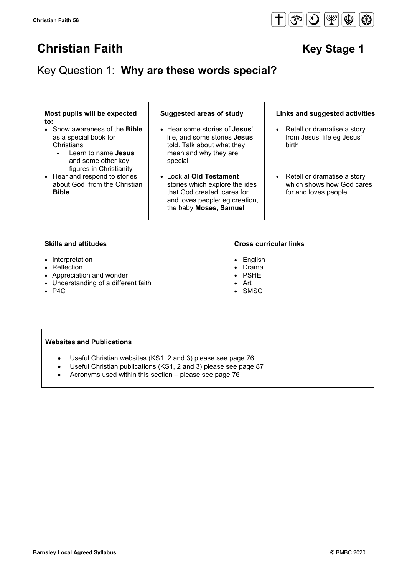# **Christian Faith Christian Faith Christian Faith Key Stage 1**

## Key Question 1: **Why are these words special?**

**Most pupils will be expected to:**

- Show awareness of the **Bible** as a special book for **Christians** 
	- Learn to name **Jesus** and some other key figures in Christianity
- Hear and respond to stories about God from the Christian **Bible**

- Hear some stories of **Jesus**' life, and some stories **Jesus** told. Talk about what they mean and why they are special
- Look at **Old Testament** stories which explore the ides that God created, cares for and loves people: eg creation, the baby **Moses, Samuel**

**Suggested areas of study Links and suggested activities**

- Retell or dramatise a story from Jesus' life eg Jesus' birth
- Retell or dramatise a story which shows how God cares for and loves people

#### **Skills and attitudes Cross curricular links**

- Interpretation
- Reflection
- Appreciation and wonder
- Understanding of a different faith
- P4C

- English
- Drama
- PSHE
- Art
- **SMSC**

### **Websites and Publications**

- Useful Christian websites (KS1, 2 and 3) please see page 76
- Useful Christian publications (KS1, 2 and 3) please see page 87
- Acronyms used within this section please see page 76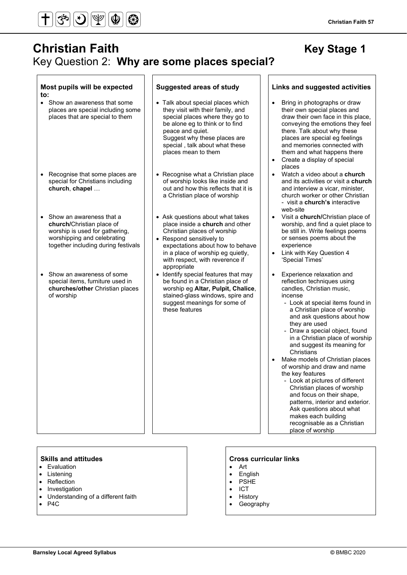

**Most pupils will be expected** 

## **Christian Faith Christian Faith Christian Faith Accord Following Christian Rey Stage 1** Key Question 2: **Why are some places special?**

**Suggested areas of study Links and suggested activities**

| to:                                                                                                                                                           |                                                                                                                                                                                                                                                           |                                                                                                                                                                                                                                                                                                                                                                                                                                                                                                                                                                                                                                                                                     |
|---------------------------------------------------------------------------------------------------------------------------------------------------------------|-----------------------------------------------------------------------------------------------------------------------------------------------------------------------------------------------------------------------------------------------------------|-------------------------------------------------------------------------------------------------------------------------------------------------------------------------------------------------------------------------------------------------------------------------------------------------------------------------------------------------------------------------------------------------------------------------------------------------------------------------------------------------------------------------------------------------------------------------------------------------------------------------------------------------------------------------------------|
| Show an awareness that some<br>$\bullet$<br>places are special including some<br>places that are special to them                                              | • Talk about special places which<br>they visit with their family, and<br>special places where they go to<br>be alone eg to think or to find<br>peace and quiet.<br>Suggest why these places are<br>special, talk about what these<br>places mean to them | Bring in photographs or draw<br>their own special places and<br>draw their own face in this place,<br>conveying the emotions they feel<br>there. Talk about why these<br>places are special eg feelings<br>and memories connected with<br>them and what happens there<br>Create a display of special<br>places                                                                                                                                                                                                                                                                                                                                                                      |
| Recognise that some places are<br>special for Christians including<br>church, chapel                                                                          | • Recognise what a Christian place<br>of worship looks like inside and<br>out and how this reflects that it is<br>a Christian place of worship                                                                                                            | Watch a video about a church<br>$\bullet$<br>and its activities or visit a church<br>and interview a vicar, minister,<br>church worker or other Christian<br>- visit a <b>church's</b> interactive<br>web-site                                                                                                                                                                                                                                                                                                                                                                                                                                                                      |
| Show an awareness that a<br>church/Christian place of<br>worship is used for gathering,<br>worshipping and celebrating<br>together including during festivals | • Ask questions about what takes<br>place inside a church and other<br>Christian places of worship<br>• Respond sensitively to<br>expectations about how to behave<br>in a place of worship eg quietly,<br>with respect, with reverence if<br>appropriate | Visit a church/Christian place of<br>$\bullet$<br>worship, and find a quiet place to<br>be still in. Write feelings poems<br>or senses poems about the<br>experience<br>Link with Key Question 4<br>$\bullet$<br>'Special Times'                                                                                                                                                                                                                                                                                                                                                                                                                                                    |
| Show an awareness of some<br>$\bullet$<br>special items, furniture used in<br>churches/other Christian places<br>of worship                                   | • Identify special features that may<br>be found in a Christian place of<br>worship eg Altar, Pulpit, Chalice,<br>stained-glass windows, spire and<br>suggest meanings for some of<br>these features                                                      | Experience relaxation and<br>reflection techniques using<br>candles, Christian music,<br>incense<br>- Look at special items found in<br>a Christian place of worship<br>and ask questions about how<br>they are used<br>- Draw a special object, found<br>in a Christian place of worship<br>and suggest its meaning for<br>Christians<br>Make models of Christian places<br>$\bullet$<br>of worship and draw and name<br>the key features<br>- Look at pictures of different<br>Christian places of worship<br>and focus on their shape,<br>patterns, interior and exterior.<br>Ask questions about what<br>makes each building<br>recognisable as a Christian<br>place of worship |

- Evaluation
- Listening
- Reflection
- Investigation
- Understanding of a different faith
- P4C

### **Skills and attitudes CRS CRS CRS CRS CRS CRS CRS CRS CRS CRS CRS CRS CRS CRS CRS CRS CRS CRS CRS CRS CRS CRS CRS CRS CRS CRS CRS CRS CRS CRS CRS CRS CRS**

- Art
- English
- PSHE
- ICT
- **History**
- **Geography**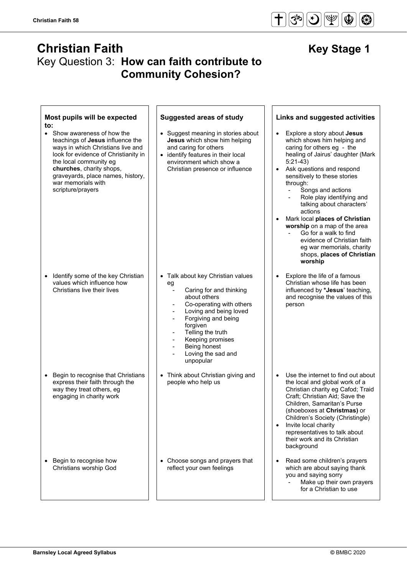## **Christian Faith Christian Faith** Key Stage 1 Key Question 3: **How can faith contribute to Community Cohesion?**

| Most pupils will be expected<br>to:                                                                                                                                                                                                                                                | <b>Suggested areas of study</b>                                                                                                                                                                                                                                                                                                                                                                                             | Links and suggested activities                                                                                                                                                                                                                                                                                                                                                                                                                                                                                                          |
|------------------------------------------------------------------------------------------------------------------------------------------------------------------------------------------------------------------------------------------------------------------------------------|-----------------------------------------------------------------------------------------------------------------------------------------------------------------------------------------------------------------------------------------------------------------------------------------------------------------------------------------------------------------------------------------------------------------------------|-----------------------------------------------------------------------------------------------------------------------------------------------------------------------------------------------------------------------------------------------------------------------------------------------------------------------------------------------------------------------------------------------------------------------------------------------------------------------------------------------------------------------------------------|
| • Show awareness of how the<br>teachings of Jesus influence the<br>ways in which Christians live and<br>look for evidence of Christianity in<br>the local community eg<br>churches, charity shops,<br>graveyards, place names, history,<br>war memorials with<br>scripture/prayers | • Suggest meaning in stories about<br>Jesus which show him helping<br>and caring for others<br>• identify features in their local<br>environment which show a<br>Christian presence or influence                                                                                                                                                                                                                            | Explore a story about Jesus<br>$\bullet$<br>which shows him helping and<br>caring for others eg - the<br>healing of Jairus' daughter (Mark<br>$5:21-43$<br>Ask questions and respond<br>$\bullet$<br>sensitively to these stories<br>through:<br>Songs and actions<br>Role play identifying and<br>talking about characters'<br>actions<br>Mark local places of Christian<br>worship on a map of the area<br>Go for a walk to find<br>evidence of Christian faith<br>eg war memorials, charity<br>shops, places of Christian<br>worship |
| Identify some of the key Christian<br>$\bullet$<br>values which influence how<br>Christians live their lives                                                                                                                                                                       | • Talk about key Christian values<br>eg<br>Caring for and thinking<br>$\overline{\phantom{a}}$<br>about others<br>Co-operating with others<br>Loving and being loved<br>$\overline{\phantom{a}}$<br>Forgiving and being<br>$\qquad \qquad \blacksquare$<br>forgiven<br>Telling the truth<br>Keeping promises<br>$\overline{\phantom{a}}$<br>Being honest<br>$\qquad \qquad \blacksquare$<br>Loving the sad and<br>unpopular | Explore the life of a famous<br>Christian whose life has been<br>influenced by *Jesus' teaching,<br>and recognise the values of this<br>person                                                                                                                                                                                                                                                                                                                                                                                          |
| Begin to recognise that Christians<br>$\bullet$<br>express their faith through the<br>way they treat others, eg<br>engaging in charity work                                                                                                                                        | • Think about Christian giving and<br>people who help us                                                                                                                                                                                                                                                                                                                                                                    | Use the internet to find out about<br>$\bullet$<br>the local and global work of a<br>Christian charity eg Cafod; Traid<br>Craft; Christian Aid; Save the<br>Children, Samaritan's Purse<br>(shoeboxes at Christmas) or<br>Children's Society (Christingle)<br>Invite local charity<br>$\bullet$<br>representatives to talk about<br>their work and its Christian<br>background                                                                                                                                                          |
| Begin to recognise how<br>٠<br>Christians worship God                                                                                                                                                                                                                              | • Choose songs and prayers that<br>reflect your own feelings                                                                                                                                                                                                                                                                                                                                                                | Read some children's prayers<br>$\bullet$<br>which are about saying thank<br>you and saying sorry<br>Make up their own prayers<br>for a Christian to use                                                                                                                                                                                                                                                                                                                                                                                |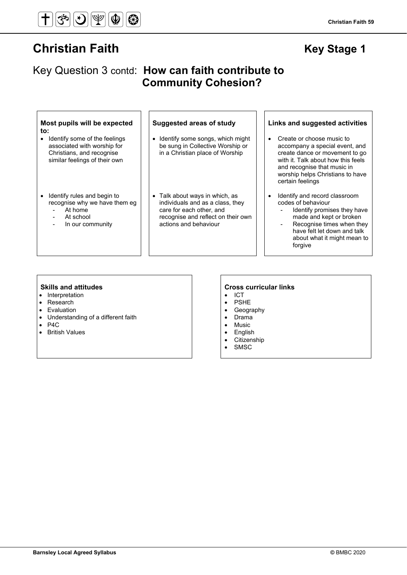# **Christian Faith Christian Faith Christian Faith Key Stage 1**

## Key Question 3 contd: **How can faith contribute to Community Cohesion?**

#### **Most pupils will be expected to:**

- Identify some of the feelings associated with worship for Christians, and recognise similar feelings of their own
- Identify rules and begin to recognise why we have them eg
	- At home
	- At school
	- In our community

- Identify some songs, which might be sung in Collective Worship or in a Christian place of Worship
- Talk about ways in which, as individuals and as a class, they care for each other, and recognise and reflect on their own actions and behaviour

#### **Suggested areas of study Links and suggested activities**

- Create or choose music to accompany a special event, and create dance or movement to go with it. Talk about how this feels and recognise that music in worship helps Christians to have certain feelings
- Identify and record classroom codes of behaviour
	- Identify promises they have made and kept or broken
	- Recognise times when they have felt let down and talk about what it might mean to forgive

- Interpretation
- Research
- Evaluation
- Understanding of a different faith
- $P4C$ <br>• Britis
- British Values

#### **Skills and attitudes Cross curricular links**

- ICT
- PSHE
- Geography
- Drama
- Music
- English
- Citizenship
- **SMSC**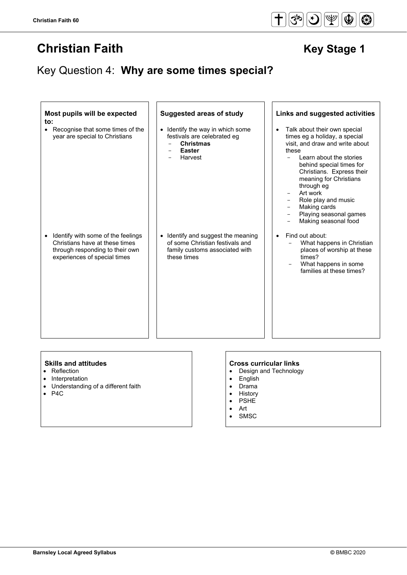## Key Question 4: **Why are some times special?**

| Most pupils will be expected<br>to:<br>Recognise that some times of the<br>year are special to Christians                                            | <b>Suggested areas of study</b><br>• Identify the way in which some<br>festivals are celebrated eg<br><b>Christmas</b><br><b>Easter</b><br>Harvest | Links and suggested activities<br>Talk about their own special<br>times eg a holiday, a special<br>visit, and draw and write about<br>these<br>Learn about the stories<br>$\overline{\phantom{0}}$<br>behind special times for<br>Christians. Express their<br>meaning for Christians<br>through eg<br>Art work<br>Role play and music<br>Making cards |
|------------------------------------------------------------------------------------------------------------------------------------------------------|----------------------------------------------------------------------------------------------------------------------------------------------------|--------------------------------------------------------------------------------------------------------------------------------------------------------------------------------------------------------------------------------------------------------------------------------------------------------------------------------------------------------|
| Identify with some of the feelings<br>$\bullet$<br>Christians have at these times<br>through responding to their own<br>experiences of special times | • Identify and suggest the meaning<br>of some Christian festivals and<br>family customs associated with<br>these times                             | Playing seasonal games<br>Making seasonal food<br>Find out about:<br>What happens in Christian<br>places of worship at these<br>times?<br>What happens in some<br>families at these times?                                                                                                                                                             |

- Reflection
- Interpretation
- Understanding of a different faith
- P4C

### **Skills and attitudes CRS CRS CRS CRS CRS CRS CRS CRS CRS CRS CRS CRS CRS CRS CRS CRS CRS CRS CRS CRS CRS CRS CRS CRS CRS CRS CRS CRS CRS CRS CRS CRS CRS**

- Design and Technology
- English
- Drama
- History
- PSHE
- Art
- SMSC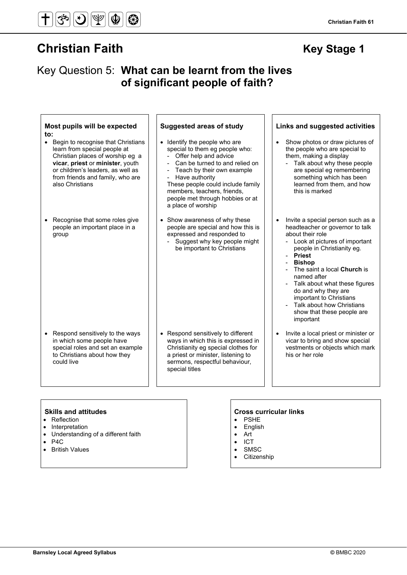**Christian Faith 61**

## Key Question 5: **What can be learnt from the lives of significant people of faith?**

| Most pupils will be expected<br>to:<br>• Begin to recognise that Christians<br>learn from special people at<br>Christian places of worship eg a<br>vicar, priest or minister, youth<br>or children's leaders, as well as<br>from friends and family, who are<br>also Christians | <b>Suggested areas of study</b><br>• Identify the people who are<br>special to them eg people who:<br>Offer help and advice<br>Can be turned to and relied on<br>- Teach by their own example<br>Have authority<br>These people could include family<br>members, teachers, friends,<br>people met through hobbies or at | Links and suggested activities<br>Show photos or draw pictures of<br>$\bullet$<br>the people who are special to<br>them, making a display<br>- Talk about why these people<br>are special eg remembering<br>something which has been<br>learned from them, and how<br>this is marked                                      |
|---------------------------------------------------------------------------------------------------------------------------------------------------------------------------------------------------------------------------------------------------------------------------------|-------------------------------------------------------------------------------------------------------------------------------------------------------------------------------------------------------------------------------------------------------------------------------------------------------------------------|---------------------------------------------------------------------------------------------------------------------------------------------------------------------------------------------------------------------------------------------------------------------------------------------------------------------------|
| Recognise that some roles give<br>$\bullet$<br>people an important place in a<br>group                                                                                                                                                                                          | a place of worship<br>• Show awareness of why these<br>people are special and how this is<br>expressed and responded to<br>- Suggest why key people might<br>be important to Christians                                                                                                                                 | Invite a special person such as a<br>headteacher or governor to talk<br>about their role<br>- Look at pictures of important<br>people in Christianity eg.<br>- Priest<br><b>Bishop</b><br>The saint a local Church is<br>named after<br>- Talk about what these figures<br>do and why they are<br>important to Christians |
| Respond sensitively to the ways<br>$\bullet$<br>in which some people have<br>special roles and set an example<br>to Christians about how they<br>could live                                                                                                                     | • Respond sensitively to different<br>ways in which this is expressed in<br>Christianity eg special clothes for<br>a priest or minister, listening to<br>sermons, respectful behaviour,<br>special titles                                                                                                               | Talk about how Christians<br>show that these people are<br>important<br>Invite a local priest or minister or<br>$\bullet$<br>vicar to bring and show special<br>vestments or objects which mark<br>his or her role                                                                                                        |

#### **Skills and attitudes Cross curricular links**

- Reflection
- Interpretation
- Understanding of a different faith
- P4C
- British Values

- PSHE
- English
- Art • ICT
- SMSC
- 
- Citizenship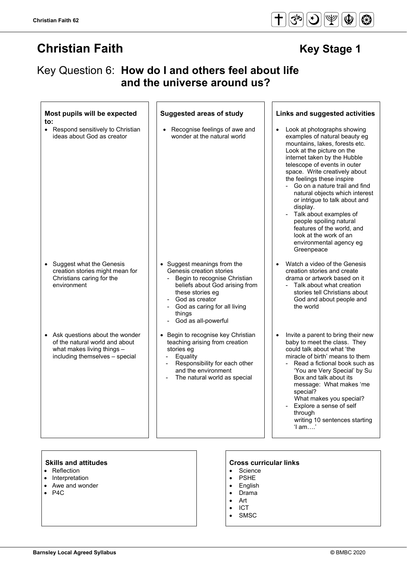**to:**

• Respond sensitively to Christian ideas about God as creator

**Most pupils will be expected** 

- Suggest what the Genesis creation stories might mean for Christians caring for the environment
- Ask questions about the wonder of the natural world and about what makes living things including themselves – special

**Christian Faith 62**

# **Christian Faith Christian Faith** Key Stage 1

 **and the universe around us?**

Key Question 6: **How do I and others feel about life** 

Recognise feelings of awe and wonder at the natural world

- Suggest meanings from the Genesis creation stories
	- Begin to recognise Christian beliefs about God arising from these stories eg
	- God as creator
	- God as caring for all living things
	- God as all-powerful
- Begin to recognise key Christian teaching arising from creation stories eg
	- **Equality**
	- Responsibility for each other and the environment
	- The natural world as special

### **Suggested areas of study Links and suggested activities**

- Look at photographs showing examples of natural beauty eg mountains, lakes, forests etc. Look at the picture on the internet taken by the Hubble telescope of events in outer space. Write creatively about the feelings these inspire
	- Go on a nature trail and find natural objects which interest or intrigue to talk about and display.
	- Talk about examples of people spoiling natural features of the world, and look at the work of an environmental agency eg **Greenpeace**
- Watch a video of the Genesis creation stories and create drama or artwork based on it
	- Talk about what creation stories tell Christians about God and about people and the world
- Invite a parent to bring their new baby to meet the class. They could talk about what 'the miracle of birth' means to them
	- Read a fictional book such as 'You are Very Special' by Su Box and talk about its message: What makes 'me special? What makes you special?
	- Explore a sense of self through

 writing 10 sentences starting 'I am….'

#### **Skills and attitudes Cross curricular links**

- Reflection
- **Interpretation**
- Awe and wonder
- $P4C$

- Science
- PSHE
- **English**
- Drama
- Art
- ICT
- **SMSC**

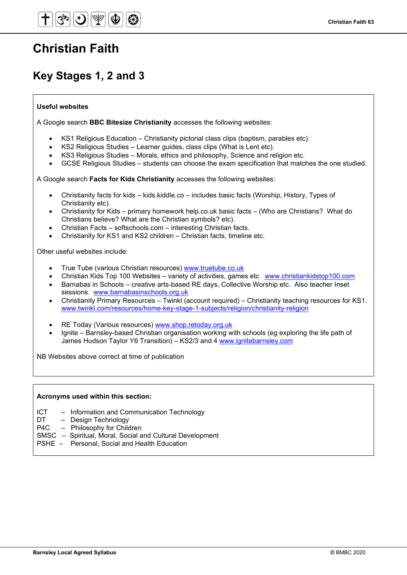# **Christian Faith**

## **Key Stages 1, 2 and 3**

### **Useful websites**

A Google search **BBC Bitesize Christianity** accesses the following websites:

- KS1 Religious Education Christianity pictorial class clips (baptism, parables etc).
- KS2 Religious Studies Learner guides, class clips (What is Lent etc).
- KS3 Religious Studies Morals, ethics and philosophy, Science and religion etc.
- GCSE Religious Studies students can choose the exam specification that matches the one studied.

A Google search **Facts for Kids Christianity** accesses the following websites:

- Christianity facts for kids kids.kiddle.co includes basic facts (Worship, History, Types of Christianity etc).
- Christianity for Kids primary homework help.co.uk basic facts (Who are Christians? What do Christians believe? What are the Christian symbols? etc).
- Christian Facts softschools.com interesting Christian facts.
- Christianity for KS1 and KS2 children Christian facts, timeline etc.

Other useful websites include:

- True Tube (various Christian resources) [www.truetube.co.uk](http://www.truetube.co.uk/)
- Christian Kids Top 100 Websites variety of activities, games etc [www.christiankidstop100.com](http://www.christiankidstop100.com/)
- Barnabas in Schools creative arts-based RE days, Collective Worship etc. Also teacher Inset sessions. [www.barnabasinschools.org.uk](http://www.barnabasinschools.org.uk/)
- Christianity Primary Resources Twinkl (account required) Christianity teaching resources for KS1. [www.twinkl.com/resources/home-key-stage-1-subjects/religion/christianity-religion](http://www.twinkl.com/resources/home-key-stage-1-subjects/religion/christianity-religion)
- RE Today (Various resources) www.shop.retoday.org.uk
- Ignite Barnsley-based Christian organisation working with schools (eg exploring the life path of James Hudson Taylor Y6 Transition) – KS2/3 and 4 [www.ignitebarnsley.com](http://www.ignitebarnsley.com/)

NB Websites above correct at time of publication

#### **Acronyms used within this section:**

- ICT Information and Communication Technology
- DT Design Technology
- P4C Philosophy for Children
- SMSC Spiritual, Moral, Social and Cultural Development
- PSHE Personal, Social and Health Education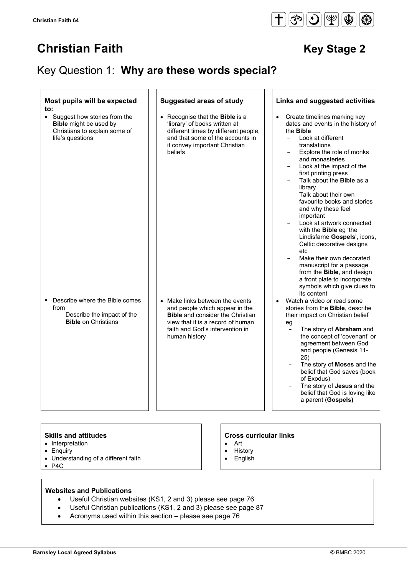## Key Question 1: **Why are these words special?**

| Most pupils will be expected<br>to:                                                                                          | <b>Suggested areas of study</b>                                                                                                                                                                       | Links and suggested activities                                                                                                                                                                                                                                                                                                                                                                                                                                                                                                                                                                                                                                                             |
|------------------------------------------------------------------------------------------------------------------------------|-------------------------------------------------------------------------------------------------------------------------------------------------------------------------------------------------------|--------------------------------------------------------------------------------------------------------------------------------------------------------------------------------------------------------------------------------------------------------------------------------------------------------------------------------------------------------------------------------------------------------------------------------------------------------------------------------------------------------------------------------------------------------------------------------------------------------------------------------------------------------------------------------------------|
| • Suggest how stories from the<br><b>Bible</b> might be used by<br>Christians to explain some of<br>life's questions         | • Recognise that the <b>Bible</b> is a<br>'library' of books written at<br>different times by different people,<br>and that some of the accounts in<br>it convey important Christian<br>beliefs       | Create timelines marking key<br>dates and events in the history of<br>the <b>Bible</b><br>Look at different<br>$\overline{a}$<br>translations<br>Explore the role of monks<br>and monasteries<br>Look at the impact of the<br>first printing press<br>Talk about the Bible as a<br>library<br>Talk about their own<br>favourite books and stories<br>and why these feel<br>important<br>Look at artwork connected<br>with the <b>Bible</b> eg 'the<br>Lindisfarne Gospels', icons,<br>Celtic decorative designs<br>etc<br>Make their own decorated<br>manuscript for a passage<br>from the Bible, and design<br>a front plate to incorporate<br>symbols which give clues to<br>its content |
| Describe where the Bible comes<br>٠<br>from<br>Describe the impact of the<br>$\qquad \qquad -$<br><b>Bible on Christians</b> | • Make links between the events<br>and people which appear in the<br><b>Bible</b> and consider the Christian<br>view that it is a record of human<br>faith and God's intervention in<br>human history | Watch a video or read some<br>$\bullet$<br>stories from the Bible, describe<br>their impact on Christian belief<br>eg<br>The story of Abraham and<br>$\overline{\phantom{0}}$<br>the concept of 'covenant' or<br>agreement between God<br>and people (Genesis 11-<br>25)<br>The story of Moses and the<br>belief that God saves (book<br>of Exodus)<br>The story of Jesus and the<br>belief that God is loving like<br>a parent (Gospels)                                                                                                                                                                                                                                                  |

#### **Skills and attitudes**

- Interpretation
- Enquiry
- Understanding of a different faith
- P4C

#### **Cross curricular links**

- Art
- History
- English

#### **Websites and Publications**

- Useful Christian websites (KS1, 2 and 3) please see page 76
- Useful Christian publications (KS1, 2 and 3) please see page 87
- Acronyms used within this section please see page 76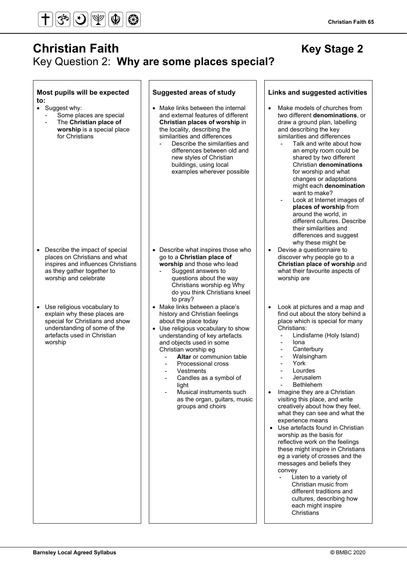

## **Christian Faith Christian Faith** Key Stage 2 Key Question 2: **Why are some places special?**

#### **Most pupils will be expected to:**

• Suggest why:

 $\overline{a}$ 

Some places are special - The **Christian place of worship** is a special place

for Christians

- Describe the impact of special places on Christians and what inspires and influences Christians as they gather together to worship and celebrate
- Use religious vocabulary to explain why these places are special for Christians and show understanding of some of the artefacts used in Christian worship

- Make links between the internal and external features of different **Christian places of worship** in the locality, describing the similarities and differences
- Describe the similarities and differences between old and new styles of Christian buildings, using local examples wherever possible

- Describe what inspires those who go to a **Christian place of worship** and those who lead
	- Suggest answers to questions about the way Christians worship eg Why do you think Christians kneel to pray?
- Make links between a place's history and Christian feelings about the place today
- Use religious vocabulary to show understanding of key artefacts and objects used in some Christian worship eg
	- **Altar** or communion table
	- Processional cross
	- Vestments
	- Candles as a symbol of light
	- Musical instruments such as the organ, guitars, music groups and choirs

#### **Suggested areas of study Links and suggested activities**

- Make models of churches from two different **denominations**, or draw a ground plan, labelling and describing the key similarities and differences
	- Talk and write about how an empty room could be shared by two different Christian **denominations** for worship and what changes or adaptations might each **denomination** want to make?
	- Look at Internet images of **places of worship** from around the world, in different cultures. Describe their similarities and differences and suggest why these might be
- Devise a questionnaire to discover why people go to a **Christian place of worship** and what their favourite aspects of worship are
- Look at pictures and a map and find out about the story behind a place which is special for many Christians:
	- Lindisfarne (Holy Island)
	- Iona
	- **Canterbury**
	- Walsingham
	- York
	- **Lourdes**
	- **Jerusalem**
	- Bethlehem
- Imagine they are a Christian visiting this place, and write creatively about how they feel, what they can see and what the experience means
- Use artefacts found in Christian worship as the basis for reflective work on the feelings these might inspire in Christians eg a variety of crosses and the messages and beliefs they convey
	- Listen to a variety of Christian music from different traditions and cultures, describing how each might inspire **Christians**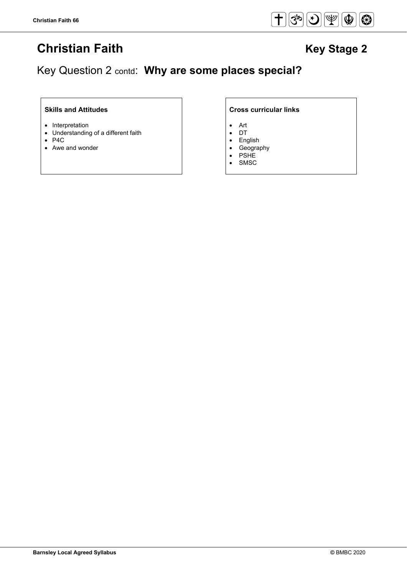

## Key Question 2 contd: **Why are some places special?**

### **Skills and Attitudes Cross curricular links**

- Interpretation
- Understanding of a different faith
- P4C
- Awe and wonder

- Art
- DT
- English
- Geography
- **PSHE**
- **SMSC**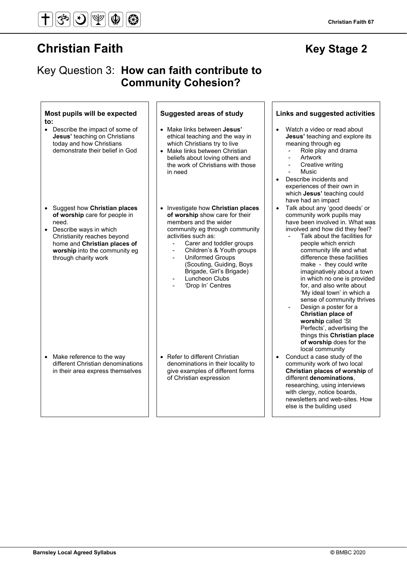#### **Christian Faith 67**

## Key Question 3: **How can faith contribute to Community Cohesion?**

#### **Most pupils will be expected to:**

- Describe the impact of some of **Jesus'** teaching on Christians today and how Christians demonstrate their belief in God
- Suggest how **Christian places of worship** care for people in need.
- Describe ways in which Christianity reaches beyond home and **Christian places of worship** into the community eg through charity work

- Make links between **Jesus'** ethical teaching and the way in which Christians try to live
- Make links between Christian beliefs about loving others and the work of Christians with those in need
- Investigate how **Christian places of worship** show care for their members and the wider community eg through community activities such as:
	- Carer and toddler groups
	- Children's & Youth groups
	- Uniformed Groups (Scouting, Guiding, Boys Brigade, Girl's Brigade)
	- Luncheon Clubs
	- 'Drop In' Centres

- Make reference to the way different Christian denominations in their area express themselves
- Refer to different Christian denominations in their locality to give examples of different forms of Christian expression

### **Suggested areas of study Links and suggested activities**

- Watch a video or read about **Jesus'** teaching and explore its meaning through eg
	- Role play and drama
	- **Artwork**
	- Creative writing
	- Music
- Describe incidents and experiences of their own in which **Jesus'** teaching could have had an impact
- Talk about any 'good deeds' or community work pupils may have been involved in. What was involved and how did they feel?
	- Talk about the facilities for people which enrich community life and what difference these facilities make - they could write imaginatively about a town in which no one is provided for, and also write about 'My ideal town' in which a sense of community thrives
	- Design a poster for a **Christian place of worship** called 'St Perfects', advertising the things this **Christian place of worship** does for the local community
- Conduct a case study of the community work of two local **Christian places of worship** of different **denominations**, researching, using interviews with clergy, notice boards, newsletters and web-sites. How else is the building used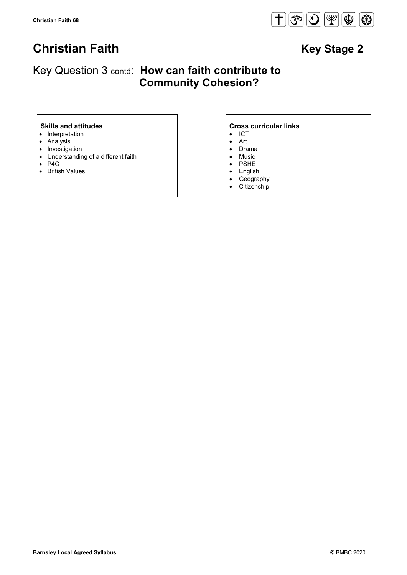

## Key Question 3 contd: **How can faith contribute to Community Cohesion?**

- Interpretation
- Analysis
- Investigation
- Understanding of a different faith
- P4C
- British Values

### **Skills and attitudes CRS CRS CRS CRS CRS CRS CRS CRS CRS CRS CRS CRS CRS CRS CRS CRS CRS CRS CRS CRS CRS CRS CRS CRS CRS CRS CRS CRS CRS CRS CRS CRS CRS**

- ICT
- Art
- Drama • Music
- PSHE
- English
- Geography
- Citizenship
-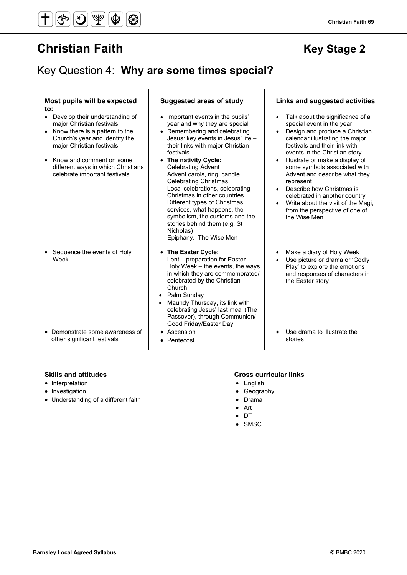## Key Question 4: **Why are some times special?**

#### **Most pupils will be expected to:**

- Develop their understanding of major Christian festivals
- Know there is a pattern to the Church's year and identify the major Christian festivals
- Know and comment on some different ways in which Christians celebrate important festivals

• Sequence the events of Holy Week

• Demonstrate some awareness of other significant festivals

- Important events in the pupils' year and why they are special
- Remembering and celebrating Jesus: key events in Jesus' life – their links with major Christian festivals
- **The nativity Cycle:** Celebrating Advent Advent carols, ring, candle Celebrating Christmas Local celebrations, celebrating Christmas in other countries Different types of Christmas services, what happens, the symbolism, the customs and the stories behind them (e.g. St Nicholas) Epiphany. The Wise Men
- **The Easter Cycle:** Lent – preparation for Easter Holy Week – the events, the ways in which they are commemorated/ celebrated by the Christian Church
- Palm Sunday • Maundy Thursday, its link with celebrating Jesus' last meal (The Passover), through Communion/ Good Friday/Easter Day
- Ascension
- Pentecost

### **Suggested areas of study Links and suggested activities**

- Talk about the significance of a special event in the year
- Design and produce a Christian calendar illustrating the major festivals and their link with events in the Christian story
- Illustrate or make a display of some symbols associated with Advent and describe what they represent
- Describe how Christmas is celebrated in another country
- Write about the visit of the Magi, from the perspective of one of the Wise Men
- Make a diary of Holy Week
- Use picture or drama or 'Godly Play<sup>'</sup> to explore the emotions and responses of characters in the Easter story
- Use drama to illustrate the stories

#### **Skills and attitudes**

- Interpretation
- Investigation
- Understanding of a different faith

#### **Cross curricular links**

- English
- Geography
- Drama
- Art
- DT
- SMSC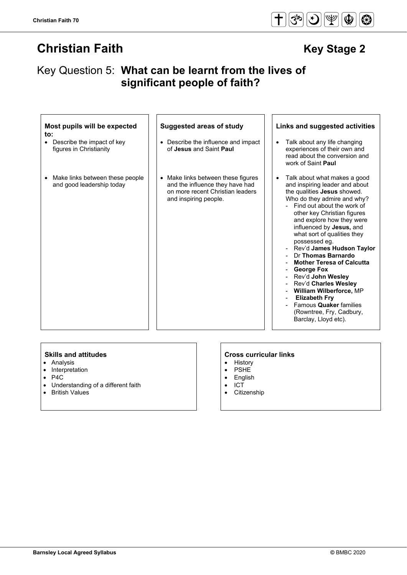## Key Question 5: **What can be learnt from the lives of significant people of faith?**

| Most pupils will be expected<br>to:<br>Describe the impact of key<br>$\bullet$<br>figures in Christianity | <b>Suggested areas of study</b><br>• Describe the influence and impact<br>of Jesus and Saint Paul                                | Links and suggested activities<br>Talk about any life changing<br>$\bullet$<br>experiences of their own and<br>read about the conversion and<br>work of Saint Paul                                                                                                                                                                                                                                                                                                                                                                                                                                  |
|-----------------------------------------------------------------------------------------------------------|----------------------------------------------------------------------------------------------------------------------------------|-----------------------------------------------------------------------------------------------------------------------------------------------------------------------------------------------------------------------------------------------------------------------------------------------------------------------------------------------------------------------------------------------------------------------------------------------------------------------------------------------------------------------------------------------------------------------------------------------------|
| Make links between these people<br>$\bullet$<br>and good leadership today                                 | Make links between these figures<br>and the influence they have had<br>on more recent Christian leaders<br>and inspiring people. | Talk about what makes a good<br>and inspiring leader and about<br>the qualities Jesus showed.<br>Who do they admire and why?<br>Find out about the work of<br>other key Christian figures<br>and explore how they were<br>influenced by Jesus, and<br>what sort of qualities they<br>possessed eq.<br>Rev'd James Hudson Tavlor<br>Dr Thomas Barnardo<br><b>Mother Teresa of Calcutta</b><br>George Fox<br>Rev'd John Wesley<br>Rev'd Charles Wesley<br><b>William Wilberforce, MP</b><br><b>Elizabeth Fry</b><br>Famous <b>Quaker</b> families<br>(Rowntree, Fry, Cadbury,<br>Barclay, Lloyd etc). |

- Analysis
- Interpretation
- P4C
- Understanding of a different faith
- British Values

# **Skills and attitudes**<br>• Analysis **Analysis Cross curricular links**

- **History**
- PSHE<br>• Englisl
- **English**
- ICT
- **Citizenship**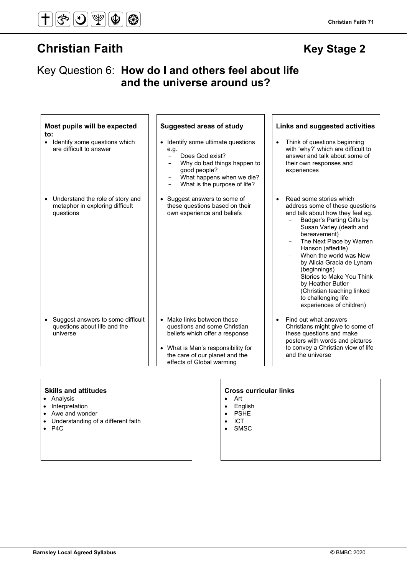Key Question 6: **How do I and others feel about life and the universe around us?**

| Most pupils will be expected<br>$\mathsf{to}$ :<br>Identify some questions which<br>$\bullet$<br>are difficult to answer | <b>Suggested areas of study</b><br>Identify some ultimate questions<br>$\bullet$<br>e.g.<br>Does God exist?<br>$-$<br>Why do bad things happen to<br>good people?                                            | Links and suggested activities<br>Think of questions beginning<br>with 'why?' which are difficult to<br>answer and talk about some of<br>their own responses and<br>experiences                                                                                                                                                                                                                         |
|--------------------------------------------------------------------------------------------------------------------------|--------------------------------------------------------------------------------------------------------------------------------------------------------------------------------------------------------------|---------------------------------------------------------------------------------------------------------------------------------------------------------------------------------------------------------------------------------------------------------------------------------------------------------------------------------------------------------------------------------------------------------|
| Understand the role of story and<br>$\bullet$                                                                            | What happens when we die?<br>What is the purpose of life?<br>Suggest answers to some of<br>$\bullet$                                                                                                         | Read some stories which<br>$\bullet$                                                                                                                                                                                                                                                                                                                                                                    |
| metaphor in exploring difficult<br>questions                                                                             | these questions based on their<br>own experience and beliefs                                                                                                                                                 | address some of these questions<br>and talk about how they feel eg.<br>Badger's Parting Gifts by<br>Susan Varley.(death and<br>bereavement)<br>The Next Place by Warren<br>Hanson (afterlife)<br>When the world was New<br>by Alicia Gracia de Lynam<br>(beginnings)<br>Stories to Make You Think<br>by Heather Butler<br>(Christian teaching linked<br>to challenging life<br>experiences of children) |
| Suggest answers to some difficult<br>$\bullet$<br>questions about life and the<br>universe                               | Make links between these<br>$\bullet$<br>questions and some Christian<br>beliefs which offer a response<br>• What is Man's responsibility for<br>the care of our planet and the<br>effects of Global warming | Find out what answers<br>Christians might give to some of<br>these questions and make<br>posters with words and pictures<br>to convey a Christian view of life<br>and the universe                                                                                                                                                                                                                      |

- Analysis
- Interpretation
- Awe and wonder
- Understanding of a different faith
- P4C

#### **Skills and attitudes CRS CRS CRS CRS CRS CRS CRS CRS CRS CRS CRS CRS CRS CRS CRS CRS CRS CRS CRS CRS CRS CRS CRS CRS CRS CRS CRS CRS CRS CRS CRS CRS CRS**

- Art
- **English**
- PSHE
- ICT
- SMSC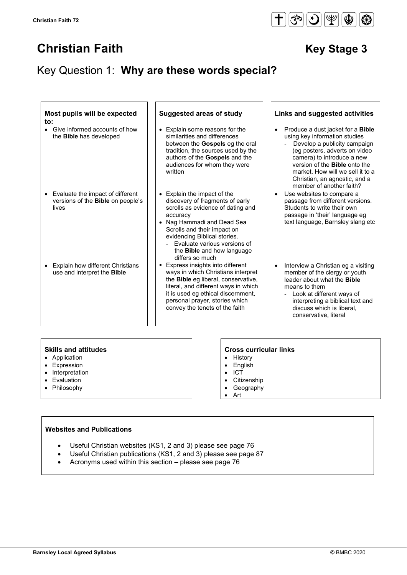## Key Question 1: **Why are these words special?**

| Most pupils will be expected<br>$\mathsf{to}$ :                                                    | <b>Suggested areas of study</b>                                                                                                                                                                                                                                                                      | Links and suggested activities                                                                                                                                                                                                                                                                                    |
|----------------------------------------------------------------------------------------------------|------------------------------------------------------------------------------------------------------------------------------------------------------------------------------------------------------------------------------------------------------------------------------------------------------|-------------------------------------------------------------------------------------------------------------------------------------------------------------------------------------------------------------------------------------------------------------------------------------------------------------------|
| Give informed accounts of how<br>$\bullet$<br>the <b>Bible</b> has developed                       | • Explain some reasons for the<br>similarities and differences<br>between the <b>Gospels</b> eg the oral<br>tradition, the sources used by the<br>authors of the Gospels and the<br>audiences for whom they were<br>written                                                                          | Produce a dust jacket for a <b>Bible</b><br>using key information studies<br>Develop a publicity campaign<br>(eg posters, adverts on video<br>camera) to introduce a new<br>version of the <b>Bible</b> onto the<br>market. How will we sell it to a<br>Christian, an agnostic, and a<br>member of another faith? |
| Evaluate the impact of different<br>$\bullet$<br>versions of the <b>Bible</b> on people's<br>lives | • Explain the impact of the<br>discovery of fragments of early<br>scrolls as evidence of dating and<br>accuracy<br>• Nag Hammadi and Dead Sea<br>Scrolls and their impact on<br>evidencing Biblical stories.<br>Evaluate various versions of<br>the <b>Bible</b> and how language<br>differs so much | Use websites to compare a<br>passage from different versions.<br>Students to write their own<br>passage in 'their' language eg<br>text language, Barnsley slang etc                                                                                                                                               |
| <b>Explain how different Christians</b><br>$\bullet$<br>use and interpret the Bible                | • Express insights into different<br>ways in which Christians interpret<br>the <b>Bible</b> eg liberal, conservative,<br>literal, and different ways in which<br>it is used eg ethical discernment,<br>personal prayer, stories which<br>convey the tenets of the faith                              | Interview a Christian eg a visiting<br>member of the clergy or youth<br>leader about what the <b>Bible</b><br>means to them<br>- Look at different ways of<br>interpreting a biblical text and<br>discuss which is liberal.<br>conservative, literal                                                              |

#### **Skills and attitudes Cross curricular links**

- Application
- Expression
- Interpretation
- Evaluation
- Philosophy

- History
- English • ICT
- 
- Citizenship<br>• Geography **Geography**
- Art

### **Websites and Publications**

- Useful Christian websites (KS1, 2 and 3) please see page 76
- Useful Christian publications (KS1, 2 and 3) please see page 87
- Acronyms used within this section please see page 76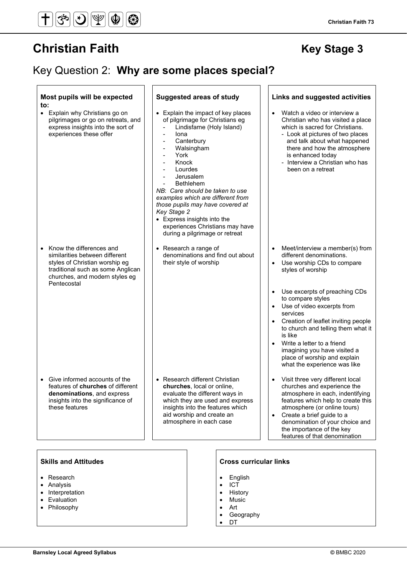## Key Question 2: **Why are some places special?**

#### **Most pupils will be expected to: Suggested areas of study Links and suggested activities** • Explain why Christians go on pilgrimages or go on retreats, and express insights into the sort of experiences these offer • Explain the impact of key places of pilgrimage for Christians eg Lindisfarne (Holy Island) **lona Canterbury** Walsingham York - Knock **Lourdes Jerusalem** - Bethlehem *NB*: *Care should be taken to use examples which are different from those pupils may have covered at Key Stage 2* • Express insights into the experiences Christians may have during a pilgrimage or retreat • Watch a video or interview a Christian who has visited a place which is sacred for Christians. - Look at pictures of two places and talk about what happened there and how the atmosphere is enhanced today - Interview a Christian who has been on a retreat • Know the differences and similarities between different styles of Christian worship eg traditional such as some Anglican churches, and modern styles eg Pentecostal • Research a range of denominations and find out about their style of worship • Meet/interview a member(s) from different denominations. Use worship CDs to compare styles of worship Use excerpts of preaching CDs to compare styles Use of video excerpts from services • Creation of leaflet inviting people to church and telling them what it is like • Write a letter to a friend imagining you have visited a place of worship and explain what the experience was like • Give informed accounts of the features of **churches** of different **denominations**, and express insights into the significance of these features • Research different Christian **churches**, local or online, evaluate the different ways in which they are used and express insights into the features which aid worship and create an atmosphere in each case • Visit three very different local churches and experience the atmosphere in each, indentifying features which help to create this atmosphere (or online tours) • Create a brief guide to a denomination of your choice and the importance of the key features of that denomination

- Research
- Analysis
- **Interpretation**
- **Evaluation**
- Philosophy

#### **Skills and Attitudes Cross curricular links**

- **English**
- ICT
- **History**
- **Music**
- Art
- **Geography**
- DT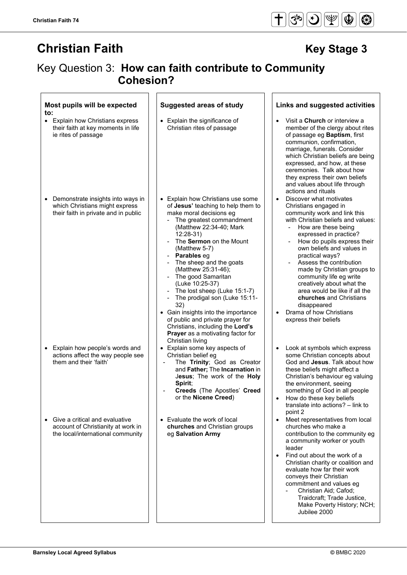$\overline{\phantom{0}}$ 

# Key Question 3: **How can faith contribute to Community Cohesion?**

| Most pupils will be expected<br>to:                                                                                      | <b>Suggested areas of study</b>                                                                                                                                                                                                                                                                                                                                                                                                                                                                                                                                              | Links and suggested activities                                                                                                                                                                                                                                                                                                                                                                                                                                                                                                 |
|--------------------------------------------------------------------------------------------------------------------------|------------------------------------------------------------------------------------------------------------------------------------------------------------------------------------------------------------------------------------------------------------------------------------------------------------------------------------------------------------------------------------------------------------------------------------------------------------------------------------------------------------------------------------------------------------------------------|--------------------------------------------------------------------------------------------------------------------------------------------------------------------------------------------------------------------------------------------------------------------------------------------------------------------------------------------------------------------------------------------------------------------------------------------------------------------------------------------------------------------------------|
| • Explain how Christians express<br>their faith at key moments in life<br>ie rites of passage                            | • Explain the significance of<br>Christian rites of passage                                                                                                                                                                                                                                                                                                                                                                                                                                                                                                                  | Visit a <b>Church</b> or interview a<br>member of the clergy about rites<br>of passage eg Baptism, first<br>communion, confirmation,<br>marriage, funerals. Consider<br>which Christian beliefs are being<br>expressed, and how, at these<br>ceremonies. Talk about how<br>they express their own beliefs<br>and values about life through<br>actions and rituals                                                                                                                                                              |
| Demonstrate insights into ways in<br>$\bullet$<br>which Christians might express<br>their faith in private and in public | • Explain how Christians use some<br>of Jesus' teaching to help them to<br>make moral decisions eg<br>The greatest commandment<br>(Matthew 22:34-40; Mark<br>12:28-31)<br>The Sermon on the Mount<br>(Matthew 5-7)<br>Parables eg<br>The sheep and the goats<br>(Matthew 25:31-46);<br>The good Samaritan<br>(Luke 10:25-37)<br>The lost sheep (Luke 15:1-7)<br>The prodigal son (Luke 15:11-<br>32)<br>• Gain insights into the importance<br>of public and private prayer for<br>Christians, including the Lord's<br>Prayer as a motivating factor for<br>Christian living | Discover what motivates<br>$\bullet$<br>Christians engaged in<br>community work and link this<br>with Christian beliefs and values:<br>How are these being<br>$\sim$<br>expressed in practice?<br>How do pupils express their<br>own beliefs and values in<br>practical ways?<br>Assess the contribution<br>made by Christian groups to<br>community life eg write<br>creatively about what the<br>area would be like if all the<br>churches and Christians<br>disappeared<br>Drama of how Christians<br>express their beliefs |
| Explain how people's words and<br>$\bullet$<br>actions affect the way people see<br>them and their 'faith'               | Explain some key aspects of<br>$\bullet$<br>Christian belief eg<br>The Trinity; God as Creator<br>$\overline{\phantom{a}}$<br>and Father; The Incarnation in<br>Jesus; The work of the Holy<br>Spirit;<br>Creeds (The Apostles' Creed<br>or the Nicene Creed)                                                                                                                                                                                                                                                                                                                | Look at symbols which express<br>$\bullet$<br>some Christian concepts about<br>God and Jesus. Talk about how<br>these beliefs might affect a<br>Christian's behaviour eg valuing<br>the environment, seeing<br>something of God in all people<br>How do these key beliefs<br>translate into actions? - link to<br>point 2                                                                                                                                                                                                      |
| Give a critical and evaluative<br>account of Christianity at work in<br>the local/international community                | • Evaluate the work of local<br>churches and Christian groups<br>eg Salvation Army                                                                                                                                                                                                                                                                                                                                                                                                                                                                                           | Meet representatives from local<br>$\bullet$<br>churches who make a<br>contribution to the community eg<br>a community worker or youth<br>leader<br>Find out about the work of a<br>Christian charity or coalition and<br>evaluate how far their work<br>conveys their Christian<br>commitment and values eg<br>Christian Aid; Cafod;<br>Traidcraft; Trade Justice,<br>Make Poverty History; NCH;<br>Jubilee 2000                                                                                                              |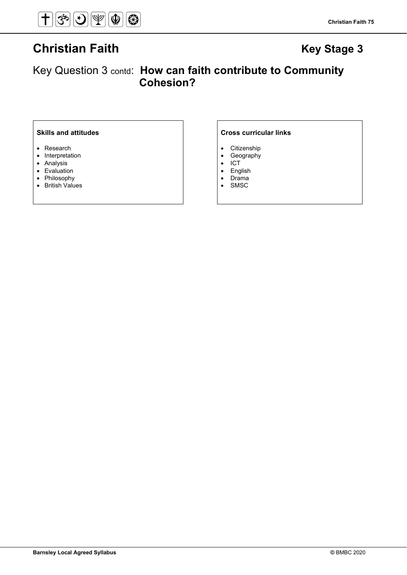

Key Question 3 contd: **How can faith contribute to Community Cohesion?** 

- Research
- Interpretation
- Analysis
- Evaluation
- Philosophy
- British Values

### **Skills and attitudes Cross curricular links**

- 
- Citizenship<br>• Geography • Geography<br>• ICT
- ICT
- English<br>• Drama
- Drama
- SMSC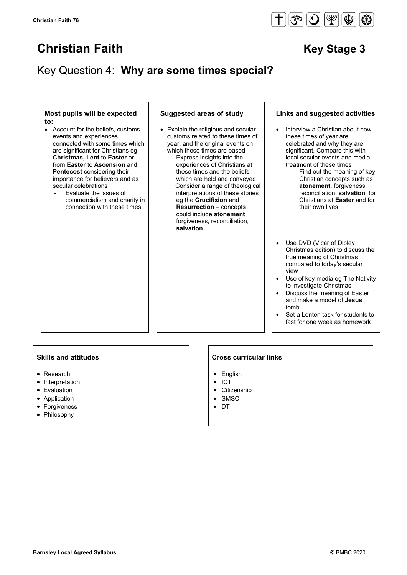## Key Question 4: **Why are some times special?**

#### **Most pupils will be expected to:**

- Account for the beliefs, customs, events and experiences connected with some times which are significant for Christians eg **Christmas, Lent** to **Easter** or from **Easter** to **Ascension** and **Pentecost** considering their importance for believers and as secular celebrations
	- Evaluate the issues of commercialism and charity in connection with these times

- Explain the religious and secular customs related to these times of year, and the original events on which these times are based
	- Express insights into the experiences of Christians at these times and the beliefs which are held and conveyed
	- Consider a range of theological interpretations of these stories eg the **Crucifixion** and **Resurrection** – concepts could include **atonement**, forgiveness, reconciliation, **salvation**

#### **Suggested areas of study Links and suggested activities**

- Interview a Christian about how these times of year are celebrated and why they are significant. Compare this with local secular events and media treatment of these times
	- Find out the meaning of key Christian concepts such as **atonement**, forgiveness, reconciliation, **salvation**, for Christians at **Easter** and for their own lives
- Use DVD (Vicar of Dibley Christmas edition) to discuss the true meaning of Christmas compared to today's secular view
- Use of key media eg The Nativity to investigate Christmas
- Discuss the meaning of Easter and make a model of **Jesus**' tomb
- Set a Lenten task for students to fast for one week as homework

#### **Skills and attitudes**

- Research
- Interpretation
- Evaluation
- Application
- Forgiveness
- Philosophy

#### **Cross curricular links**

- English
- ICT
- **Citizenship**
- **SMSC**
- DT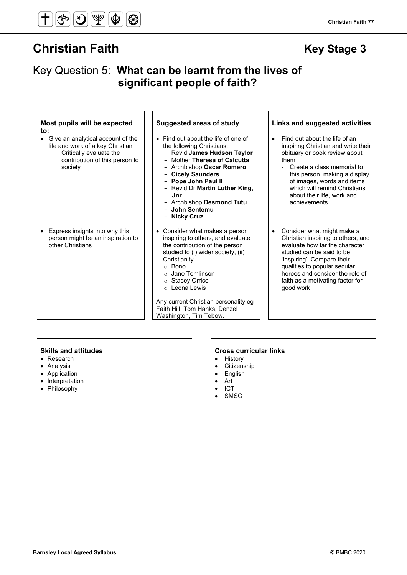## Key Question 5: **What can be learnt from the lives of significant people of faith?**

| Most pupils will be expected<br>to:<br>Give an analytical account of the<br>$\bullet$<br>life and work of a key Christian<br>Critically evaluate the<br>contribution of this person to<br>society | <b>Suggested areas of study</b><br>• Find out about the life of one of<br>the following Christians:<br>- Rev'd James Hudson Taylor<br>- Mother Theresa of Calcutta<br>- Archbishop Oscar Romero<br>- Cicely Saunders<br>- Pope John Paul II<br>- Rev'd Dr Martin Luther King,<br>Jnr<br>- Archbishop Desmond Tutu<br>- John Sentemu<br>- Nicky Cruz   | Links and suggested activities<br>Find out about the life of an<br>$\bullet$<br>inspiring Christian and write their<br>obituary or book review about<br>them<br>Create a class memorial to<br>this person, making a display<br>of images, words and items<br>which will remind Christians<br>about their life, work and<br>achievements |
|---------------------------------------------------------------------------------------------------------------------------------------------------------------------------------------------------|-------------------------------------------------------------------------------------------------------------------------------------------------------------------------------------------------------------------------------------------------------------------------------------------------------------------------------------------------------|-----------------------------------------------------------------------------------------------------------------------------------------------------------------------------------------------------------------------------------------------------------------------------------------------------------------------------------------|
| Express insights into why this<br>person might be an inspiration to<br>other Christians                                                                                                           | • Consider what makes a person<br>inspiring to others, and evaluate<br>the contribution of the person<br>studied to (i) wider society, (ii)<br>Christianity<br>$\circ$ Bono<br>Jane Tomlinson<br>$\circ$<br>○ Stacey Orrico<br>$\circ$ Leona Lewis<br>Any current Christian personality eg<br>Faith Hill, Tom Hanks, Denzel<br>Washington, Tim Tebow. | Consider what might make a<br>$\bullet$<br>Christian inspiring to others, and<br>evaluate how far the character<br>studied can be said to be<br>'inspiring'. Compare their<br>qualities to popular secular<br>heroes and consider the role of<br>faith as a motivating factor for<br>good work                                          |

- Research
- Analysis
- Application
- Interpretation
- Philosophy

### Skills and attitudes **CROS CROSE SKILLS** and attitudes **CROSE SKILLS CROSE CURRENT**

- History
- Citizenship
- English
- Art
- ICT
- SMSC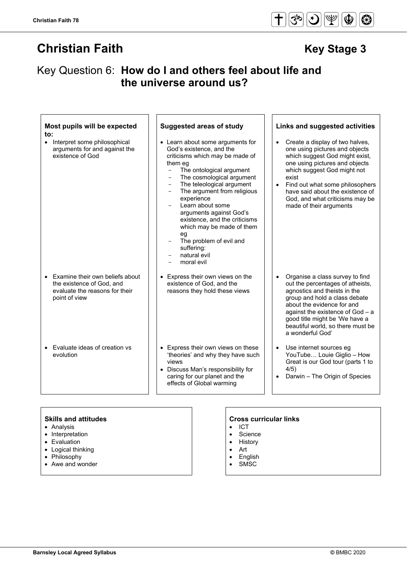## Key Question 6: **How do I and others feel about life and the universe around us?**

| Most pupils will be expected<br>to:<br>• Interpret some philosophical<br>arguments for and against the<br>existence of God | <b>Suggested areas of study</b><br>• Learn about some arguments for<br>God's existence, and the<br>criticisms which may be made of<br>them eg<br>The ontological argument<br>$\equiv$<br>The cosmological argument<br>$\qquad \qquad -$<br>The teleological argument<br>$\qquad \qquad -$<br>The argument from religious<br>experience<br>Learn about some<br>arguments against God's<br>existence, and the criticisms<br>which may be made of them<br>eg<br>The problem of evil and<br>suffering:<br>natural evil | Links and suggested activities<br>Create a display of two halves,<br>$\bullet$<br>one using pictures and objects<br>which suggest God might exist,<br>one using pictures and objects<br>which suggest God might not<br>exist<br>Find out what some philosophers<br>$\bullet$<br>have said about the existence of<br>God, and what criticisms may be<br>made of their arguments |
|----------------------------------------------------------------------------------------------------------------------------|--------------------------------------------------------------------------------------------------------------------------------------------------------------------------------------------------------------------------------------------------------------------------------------------------------------------------------------------------------------------------------------------------------------------------------------------------------------------------------------------------------------------|--------------------------------------------------------------------------------------------------------------------------------------------------------------------------------------------------------------------------------------------------------------------------------------------------------------------------------------------------------------------------------|
| Examine their own beliefs about<br>the existence of God, and<br>evaluate the reasons for their<br>point of view            | moral evil<br>Express their own views on the<br>existence of God, and the<br>reasons they hold these views                                                                                                                                                                                                                                                                                                                                                                                                         | Organise a class survey to find<br>$\bullet$<br>out the percentages of atheists,<br>agnostics and theists in the<br>group and hold a class debate<br>about the evidence for and<br>against the existence of $God - a$<br>good title might be 'We have a<br>beautiful world, so there must be<br>a wonderful God'                                                               |
| • Evaluate ideas of creation vs<br>evolution                                                                               | • Express their own views on these<br>'theories' and why they have such<br>views<br>• Discuss Man's responsibility for<br>caring for our planet and the<br>effects of Global warming                                                                                                                                                                                                                                                                                                                               | Use internet sources eg<br>$\bullet$<br>YouTube Louie Giglio - How<br>Great is our God tour (parts 1 to<br>4/5)<br>Darwin - The Origin of Species<br>$\bullet$                                                                                                                                                                                                                 |

- Analysis
- Interpretation
- Evaluation
- Logical thinking
- Philosophy
- Awe and wonder

### **Skills and attitudes Cross curricular links**

- ICT
- Science • History
- Art
- 
- English • SMSC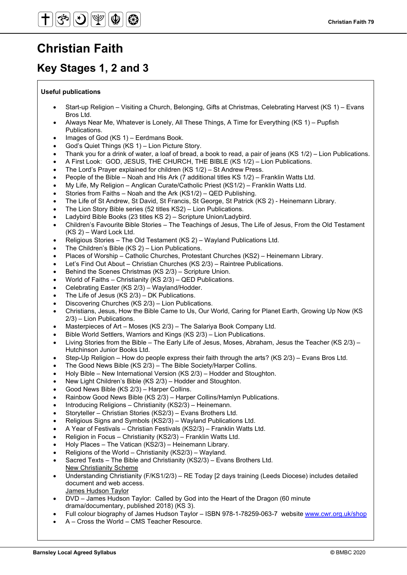# **Christian Faith**

## **Key Stages 1, 2 and 3**

#### **Useful publications**

- Start-up Religion Visiting a Church, Belonging, Gifts at Christmas, Celebrating Harvest (KS 1) Evans Bros Ltd.
- Always Near Me, Whatever is Lonely, All These Things, A Time for Everything (KS 1) Pupfish Publications.
- Images of God (KS 1) Eerdmans Book.
- God's Quiet Things (KS 1) Lion Picture Story.
- Thank you for a drink of water, a loaf of bread, a book to read, a pair of jeans (KS 1/2) Lion Publications.
- A First Look: GOD, JESUS, THE CHURCH, THE BIBLE (KS 1/2) Lion Publications.
- The Lord's Prayer explained for children (KS 1/2) St Andrew Press.
- People of the Bible Noah and His Ark (7 additional titles KS 1/2) Franklin Watts Ltd.
- My Life, My Religion Anglican Curate/Catholic Priest (KS1/2) Franklin Watts Ltd.
- Stories from Faiths Noah and the Ark (KS1/2) QED Publishing.
- The Life of St Andrew, St David, St Francis, St George, St Patrick (KS 2) Heinemann Library.
- The Lion Story Bible series (52 titles KS2) Lion Publications.
- Ladybird Bible Books (23 titles KS 2) Scripture Union/Ladybird.
- Children's Favourite Bible Stories The Teachings of Jesus, The Life of Jesus, From the Old Testament (KS 2) – Ward Lock Ltd.
- Religious Stories The Old Testament (KS 2) Wayland Publications Ltd.
- The Children's Bible  $(KS 2)$  Lion Publications.
- Places of Worship Catholic Churches, Protestant Churches (KS2) Heinemann Library.
- Let's Find Out About Christian Churches (KS 2/3) Raintree Publications.
- Behind the Scenes Christmas (KS 2/3) Scripture Union.
- World of Faiths Christianity (KS 2/3) QED Publications.
- Celebrating Easter (KS 2/3) Wayland/Hodder.
- The Life of Jesus (KS 2/3) DK Publications.
- Discovering Churches (KS 2/3) Lion Publications.
- Christians, Jesus, How the Bible Came to Us, Our World, Caring for Planet Earth, Growing Up Now (KS 2/3) – Lion Publications.
- Masterpieces of Art Moses (KS 2/3) The Salariya Book Company Ltd.
- Bible World Settlers, Warriors and Kings (KS 2/3) Lion Publications.
- Living Stories from the Bible The Early Life of Jesus, Moses, Abraham, Jesus the Teacher (KS 2/3) Hutchinson Junior Books Ltd.
- Step-Up Religion How do people express their faith through the arts? (KS 2/3) Evans Bros Ltd.
- The Good News Bible (KS 2/3) The Bible Society/Harper Collins.
- Holy Bible New International Version (KS 2/3) Hodder and Stoughton.
- New Light Children's Bible (KS 2/3) Hodder and Stoughton.
- Good News Bible (KS 2/3) Harper Collins.
- Rainbow Good News Bible (KS 2/3) Harper Collins/Hamlyn Publications.
- Introducing Religions Christianity (KS2/3) Heinemann.
- Storyteller Christian Stories (KS2/3) Evans Brothers Ltd.
- Religious Signs and Symbols (KS2/3) Wayland Publications Ltd.
- A Year of Festivals Christian Festivals (KS2/3) Franklin Watts Ltd.
- Religion in Focus Christianity (KS2/3) Franklin Watts Ltd.
- Holy Places The Vatican (KS2/3) Heinemann Library.
- Religions of the World Christianity (KS2/3) Wayland. • Sacred Texts – The Bible and Christianity (KS2/3) – Evans Brothers Ltd. New Christianity Scheme
- Understanding Christianity (F/KS1/2/3) RE Today [2 days training (Leeds Diocese) includes detailed document and web access. James Hudson Taylor
- DVD James Hudson Taylor: Called by God into the Heart of the Dragon (60 minute drama/documentary, published 2018) (KS 3).
- Full colour biography of James Hudson Taylor ISBN 978-1-78259-063-7 website [www.cwr.org.uk/shop](http://www.cwr.org.uk/shop)
- A Cross the World CMS Teacher Resource.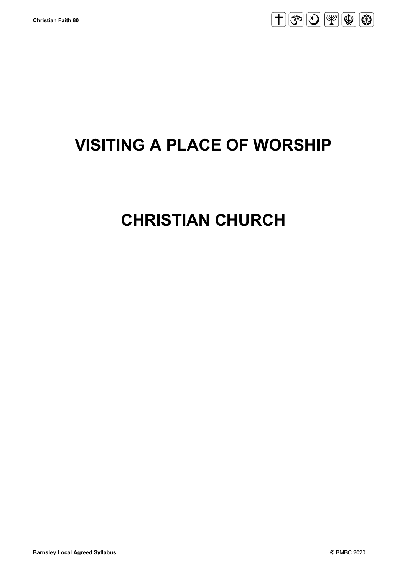

# **VISITING A PLACE OF WORSHIP**

# **CHRISTIAN CHURCH**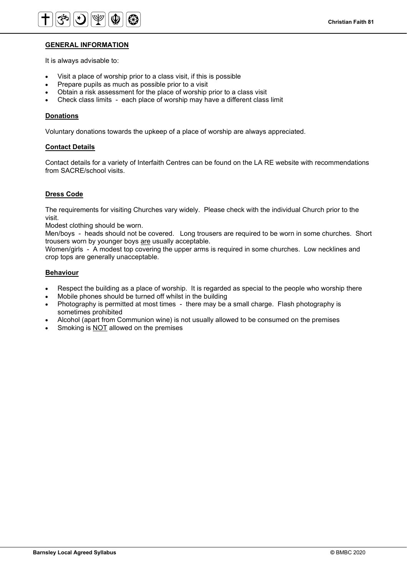### **GENERAL INFORMATION**

It is always advisable to:

- Visit a place of worship prior to a class visit, if this is possible
- Prepare pupils as much as possible prior to a visit
- Obtain a risk assessment for the place of worship prior to a class visit
- Check class limits each place of worship may have a different class limit

#### **Donations**

Voluntary donations towards the upkeep of a place of worship are always appreciated.

#### **Contact Details**

Contact details for a variety of Interfaith Centres can be found on the LA RE website with recommendations from SACRE/school visits.

#### **Dress Code**

The requirements for visiting Churches vary widely. Please check with the individual Church prior to the visit.

Modest clothing should be worn.

Men/boys - heads should not be covered. Long trousers are required to be worn in some churches. Short trousers worn by younger boys are usually acceptable.

Women/girls - A modest top covering the upper arms is required in some churches. Low necklines and crop tops are generally unacceptable.

#### **Behaviour**

- Respect the building as a place of worship. It is regarded as special to the people who worship there
- Mobile phones should be turned off whilst in the building
- Photography is permitted at most times there may be a small charge. Flash photography is sometimes prohibited
- Alcohol (apart from Communion wine) is not usually allowed to be consumed on the premises
- Smoking is NOT allowed on the premises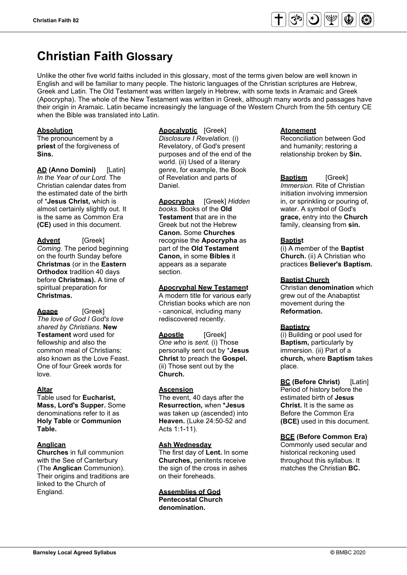# **Christian Faith Glossary**

Unlike the other five world faiths included in this glossary, most of the terms given below are well known in English and will be familiar to many people. The historic languages of the Christian scriptures are Hebrew, Greek and Latin. The Old Testament was written largely in Hebrew, with some texts in Aramaic and Greek (Apocrypha). The whole of the New Testament was written in Greek, although many words and passages have their origin in Aramaic. Latin became increasingly the language of the Western Church from the 5th century CE when the Bible was translated into Latin.

#### **Absolution**

The pronouncement by a **priest** of the forgiveness of **Sins.**

**AD (Anno Domini)** [Latin] *In the Year of our Lord.* The Christian calendar dates from the estimated date of the birth of \***Jesus Christ,** which is almost certainly slightly out. It is the same as Common Era **(CE)** used in this document.

**Advent** [Greek] *Coming.* The period beginning on the fourth Sunday before **Christmas** (or in the **Eastern Orthodox** tradition 40 days before **Christmas).** A time of spiritual preparation for **Christmas.**

**Agape** [Greek] *The love of God I God's love shared by Christians.* **New Testament** word used for fellowship and also the common meal of Christians; also known as the Love Feast. One of four Greek words for love.

### **Altar**

Table used for **Eucharist, Mass, Lord's Supper.** Some denominations refer to it as **Holy Table** or **Communion Table.**

#### **Anglican**

**Churches** in full communion with the See of Canterbury (The **Anglican** Communion). Their origins and traditions are linked to the Church of England.

### **Apocalyptic** [Greek] *Disclosure I Revelation.* (i)

Revelatory, of God's present purposes and of the end of the world. (ii) Used of a literary genre, for example, the Book of Revelation and parts of Daniel.

**Apocrypha** [Greek] *Hidden books.* Books of the **Old Testament** that are in the Greek but not the Hebrew **Canon.** Some **Churches**  recognise the **Apocrypha** as part of the **Old Testament Canon,** in some **Bibles** it appears as a separate section.

#### **Apocryphal New Testament**

A modern title for various early Christian books which are non - canonical, including many rediscovered recently.

**Apostle** [Greek] *One who* is *sent.* (i) Those personally sent out by \***Jesus Christ** to preach the **Gospel.**  (ii) Those sent out by the **Church.**

#### **Ascension**

The event, 40 days after the **Resurrection,** when **\*Jesus**  was taken up (ascended) into **Heaven.** (Luke 24:50-52 and Acts 1:1-11).

#### **Ash Wednesday**

The first day of **Lent.** In some **Churches,** penitents receive the sign of the cross in ashes on their foreheads.

### **Assemblies of God**

**Pentecostal Church denomination.** 

#### **Atonement**

Reconciliation between God and humanity; restoring a relationship broken by **Sin.**

**Baptism** [Greek] *Immersion.* Rite of Christian initiation involving immersion in, or sprinkling or pouring of, water. A symbol of God's **grace,** entry into the **Church**  family, cleansing from **sin.**

#### **Baptist**

(i) A member of the **Baptist Church.** (ii) A Christian who practices **Believer's Baptism.** 

#### **Baptist Church**

Christian **denomination** which grew out of the Anabaptist movement during the **Reformation.**

#### **Baptistry**

(i) Building or pool used for **Baptism,** particularly by immersion. (ii) Part of a **church,** where **Baptism** takes place.

**BC (Before Christ)** [Latin] Period of history before the estimated birth of **Jesus Christ.** It is the same as Before the Common Era **(BCE)** used in this document.

#### **BCE (Before Common Era)**

Commonly used secular and historical reckoning used throughout this syllabus. It matches the Christian **BC.**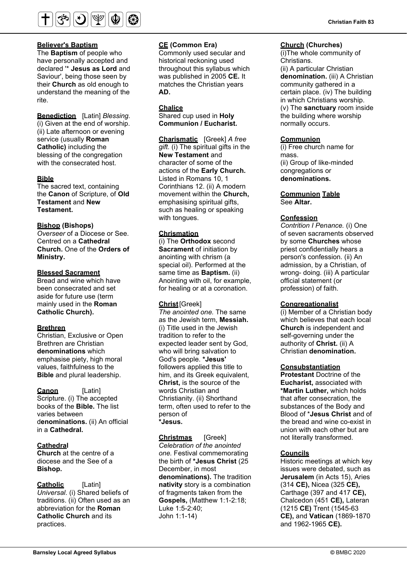

The **Baptism** of people who have personally accepted and declared '\* **Jesus as Lord** and Saviour', being those seen by their **Church** as old enough to understand the meaning of the rite.

**Benediction** [Latin] *Blessing.*  (i) Given at the end of worship. (ii) Late afternoon or evening service (usually **Roman Catholic)** including the blessing of the congregation with the consecrated host.

#### **Bible**

The sacred text, containing the **Canon** of Scripture, of **Old Testament** and **New Testament.** 

#### **Bishop (Bishops)**

*Overseer* of a Diocese or See. Centred on a **Cathedral Church.** One of the **Orders of Ministry.** 

### **Blessed Sacrament**

Bread and wine which have been consecrated and set aside for future use (term mainly used in the **Roman Catholic Church).**

#### **Brethren**

Christian, Exclusive or Open Brethren are Christian **denominations** which emphasise piety, high moral values, faithfulness to the **Bible** and plural leadership.

**Canon** [Latin] Scripture. (i) The accepted books of the **Bible.** The list varies between d**enominations.** (ii) An official in a **Cathedral.**

### **Cathedral**

**Church** at the centre of a diocese and the See of a **Bishop.**

#### **Catholic** [Latin]

*Universal.* (i) Shared beliefs of traditions. (ii) Often used as an abbreviation for the **Roman Catholic Church** and its practices.

#### **CE (Common Era)**

Commonly used secular and historical reckoning used throughout this syllabus which was published in 2005 **CE.** It matches the Christian years **AD.**

#### **Chalice**

Shared cup used in **Holy Communion / Eucharist.** 

**Charismatic** [Greek] *A free gift.* (i) The spiritual gifts in the **New Testament** and character of some of the actions of the **Early Church.**  Listed in Romans 10, 1 Corinthians 12. (ii) A modern movement within the **Church,**  emphasising spiritual gifts, such as healing or speaking with tongues.

#### **Chrismation**

(i) The **Orthodox** second **Sacrament** of initiation by anointing with chrism (a special oil). Performed at the same time as **Baptism.** (ii) Anointing with oil, for example, for healing or at a coronation.

#### **Christ**[Greek]

*The anointed one.* The same as the Jewish term, **Messiah.**  (i) Title used in the Jewish tradition to refer to the expected leader sent by God, who will bring salvation to God's people. **\*Jesus'**  followers applied this title to him, and its Greek equivalent, **Christ,** is the source of the words Christian and Christianity. (ii) Shorthand term, often used to refer to the person of **\*Jesus.**

**Christmas** [Greek] *Celebration of the anointed one.* Festival commemorating the birth of **\*Jesus Christ** (25 December, in most **denominations).** The tradition **nativity** story is a combination of fragments taken from the **Gospels,** (Matthew 1:1-2:18; Luke 1:5-2:40; John 1:1-14)

#### **Church (Churches)**

(i)The whole community of Christians.

(ii) A particular Christian **denomination.** (iii) A Christian community gathered in a certain place. (iv) The building in which Christians worship. (v) The **sanctuary** room inside the building where worship normally occurs.

#### **Communion**

(i) Free church name for mass. (ii) Group of like-minded congregations or **denominations.** 

#### **Communion Table** See **Altar.**

#### **Confession**

*Contrition I Penance.* (i) One of seven sacraments observed by some **Churches** whose priest confidentially hears a person's confession. (ii) An admission, by a Christian, of wrong- doing. (iii) A particular official statement (or profession) of faith.

#### **Congregationalist**

(i) Member of a Christian body which believes that each local **Church** is independent and self-governing under the authority of **Christ.** (ii) A Christian **denomination.**

#### **Consubstantiation**

**Protestant** Doctrine of the **Eucharist,** associated with **\*Martin Luther,** which holds that after consecration, the substances of the Body and Blood of \***Jesus Christ** and of the bread and wine co-exist in union with each other but are not literally transformed.

#### **Councils**

Historic meetings at which key issues were debated, such as **Jerusalem** (in Acts 15), Aries (314 **CE),** Nicea (325 **CE),**  Carthage (397 and 417 **CE),** Chalcedon (451 **CE),** Lateran (1215 **CE)** Trent (1545-63 **CE),** and **Vatican** (1869-1870 and 1962-1965 **CE).**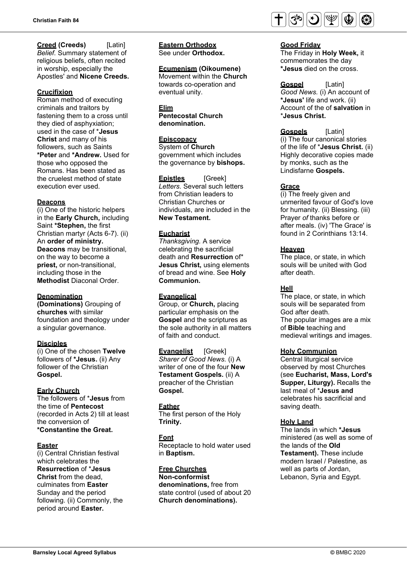#### **Creed (Creeds)** [Latin] *Belief.* Summary statement of religious beliefs, often recited

in worship, especially the Apostles' and **Nicene Creeds.**

### **Crucifixion**

Roman method of executing criminals and traitors by fastening them to a cross until they died of asphyxiation; used in the case of \***Jesus Christ** and many of his followers, such as Saints **\*Peter** and **\*Andrew.** Used for those who opposed the Romans. Has been stated as the cruelest method of state execution ever used.

### **Deacons**

(i) One of the historic helpers in the **Early Church,** including Saint **\*Stephen,** the first Christian martyr (Acts 6-7). (ii) An **order of ministry. Deacons** may be transitional, on the way to become a **priest,** or non-transitional, including those in the **Methodist** Diaconal Order.

### **Denomination**

**(Dominations)** Grouping of **churches** with similar foundation and theology under a singular governance.

### **Disciples**

(i) One of the chosen **Twelve**  followers of **\*Jesus.** (ii) Any follower of the Christian **Gospel.**

### **Early Church**

The followers of \***Jesus** from the time of **Pentecost**  (recorded in Acts 2) till at least the conversion of **\*Constantine the Great.**

### **Easter**

(i) Central Christian festival which celebrates the **Resurrection** of \***Jesus Christ** from the dead, culminates from **Easter**  Sunday and the period following. (ii) Commonly, the period around **Easter.**

**Eastern Orthodox** See under **Orthodox.** 

### **Ecumenism (Oikoumene)**

Movement within the **Church**  towards co-operation and eventual unity.

#### **Elim**

**Pentecostal Church denomination.**

### **Episcopacy**

System of **Church**  government which includes the governance by **bishops.**

**Epistles** [Greek] *Letters.* Several such letters from Christian leaders to Christian Churches or individuals, are included in the **New Testament.**

### **Eucharist**

*Thanksgiving.* A service celebrating the sacrificial death and **Resurrection** of\* **Jesus Christ,** using elements of bread and wine. See **Holy Communion.**

### **Evangelical**

Group, or **Church,** placing particular emphasis on the **Gospel** and the scriptures as the sole authority in all matters of faith and conduct.

**Evangelist** [Greek] *Sharer of Good News.* (i) A writer of one of the four **New Testament Gospels.** (ii) A preacher of the Christian **Gospel.**

### **Father**

The first person of the Holy **Trinity.** 

### **Font**

Receptacle to hold water used in **Baptism.**

### **Free Churches**

**Non-conformist denominations,** free from state control (used of about 20 **Church denominations).**



#### **Good Friday**

\***Jesus Christ.** 

The Friday in **Holy Week,** it commemorates the day **\*Jesus** died on the cross.

#### **Gospel** [Latin] *Good News.* (i) An account of **\*Jesus'** life and work. (ii) Account of the of **salvation** in

**Gospels** [Latin] (i) The four canonical stories of the life of \***Jesus Christ.** (ii) Highly decorative copies made by monks, such as the Lindisfarne **Gospels.**

### **Grace**

(i) The freely given and unmerited favour of God's love for humanity. (ii) Blessing. (iii) Prayer *of* thanks before or after meals. (iv) 'The Grace' is found in 2 Corinthians 13:14.

### **Heaven**

The place, or state, in which souls will be united with God after death.

### **Hell**

The place, or state, in which souls will be separated from God after death. The popular images are a mix of **Bible** teaching and medieval writings and images.

### **Holy Communion**

Central liturgical service observed by most Churches (see **Eucharist, Mass, Lord's Supper, Liturgy).** Recalls the last meal of \***Jesus and** celebrates his sacrificial and saving death.

### **Holy Land**

The lands in which **\*Jesus**  ministered (as well as some of the lands of the **Old Testament).** These include modern Israel / Palestine, as well as parts of Jordan, Lebanon, Syria and Egypt.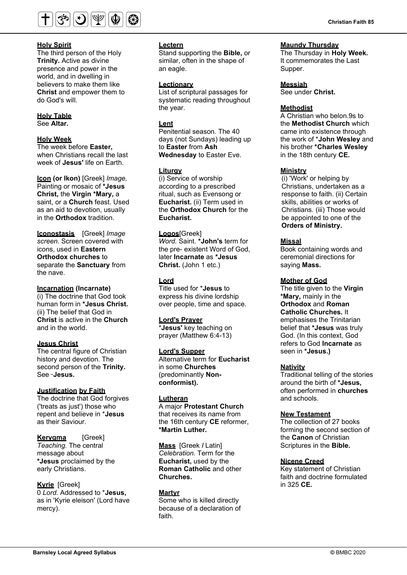

The third person of the Holy **Trinity.** Active as divine presence and power in the world, and in dwelling in believers to make them like **Christ** and empower them to do God's will.

### **Holy Table**

See **Altar.**

#### **Holy Week**

The week before **Easter,**  when Christians recall the last week of **Jesus'** life on Earth.

**Icon (or Ikon)** [Greek] *Image,*  Painting or mosaic of **\*Jesus Christ,** the **Virgin \*Mary,** a saint, or a **Church** feast. Used as an aid to devotion, usually in the **Orthodox** tradition.

**lconostasis** [Greek] *Image screen.* Screen covered with icons, used in **Eastern Orthodox churches** to separate the **Sanctuary** from the nave.

#### **Incarnation (Incarnate)**

(i) The doctrine that God took human form in **\*Jesus Christ.**  (ii) The belief that God in **Christ** is active in the **Church**  and in the world.

### **Jesus Christ**

The central figure of Christian history and devotion. The second person of the **Trinity.**  See **·Jesus.**

#### **Justification by Faith**

The doctrine that God forgives ('treats as just') those who repent and believe in \***Jesus**  as their Saviour.

#### **Kerygma** [Greek] *Teaching.* The central message about **\*Jesus** proclaimed by the early Christians.

**Kyrie** [Greek] 0 *Lord.* Addressed to \***Jesus,**  as in 'Kyrie eleison' (Lord have mercy).

#### **Lectern**

Stand supporting the **Bible,** or similar, often in the shape of an eagle.

#### **Lectionary**

List of scriptural passages for systematic reading throughout the year.

#### **Lent**

Penitential season. The 40 days (not Sundays) leading up to **Easter** from **Ash Wednesday** to Easter Eve.

#### **Liturgy**

(i) Service of worship according to a prescribed ritual, such as Evensong or **Eucharist.** (ii) Term used in the **Orthodox Church** for the **Eucharist.**

**Logos**[Greek] *Word.* Saint. **\*John's** term for the pre- existent Word of God, later **Incarnate** as **\*Jesus Christ.** (John 1 etc.)

#### **Lord**

Title used for \***Jesus** to express his divine lordship over people, time and space.

#### **Lord's Prayer**

\***Jesus'** key teaching on prayer (Matthew 6:4-13)

#### **Lord's Supper**

Alternative term for **Eucharist**  in some **Churches**  (predominantly **Nonconformist).**

#### **Lutheran**

A major **Protestant Church**  that receives its name from the 16th century **CE** reformer, **\*Martin Luther.** 

**Mass** [Greek *I* Latin] *Celebration.* Term for the **Eucharist,** used by the **Roman Catholic** and other **Churches.**

#### **Martyr**

Some who is killed directly because of a declaration of faith.

#### **Maundy Thursday**

The Thursday in **Holy Week.**  It commemorates the Last Supper.

#### **Messiah**

See under **Christ.** 

#### **Methodist**

A Christian who belon.9s to the **Methodist Church** which came into existence through the work of \***John Wesley** and his brother **\*Charles Wesley**  in the 18th century **CE.**

#### **Ministry**

(i) 'Work' or helping by Christians, undertaken as a response to faith. (ii) Certain skills, abilities or works of Christians. (iii) Those would be appointed to one of the **Orders of Ministry.**

#### **Missal**

Book containing words and ceremonial directions for saying **Mass.**

#### **Mother of God**

The title given to the **Virgin \*Mary,** mainly in the **Orthodox** and **Roman Catholic Churches.** It emphasises the Trinitarian belief that **\*Jesus** was truly God. (In this context, God refers to God **Incarnate** as seen in **\*Jesus.)** 

#### **Nativity**

Traditional telling of the stories around the birth of **\*Jesus,**  often performed in **churches**  and schools.

#### **New Testament**

The collection of 27 books forming the second section of the **Canon** of Christian Scriptures in the **Bible.**

#### **Nicene Creed**

Key statement of Christian faith and doctrine formulated in 325 **CE.**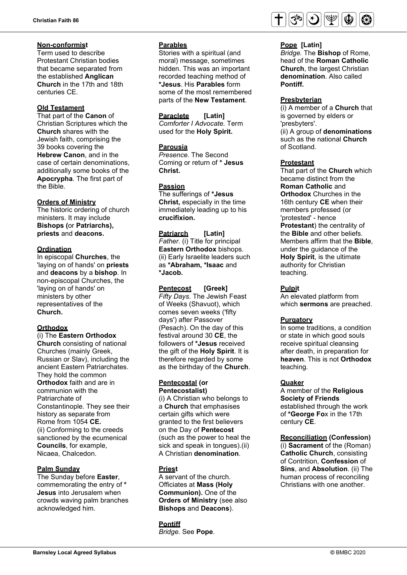#### **Non-conformist**

Term used to describe Protestant Christian bodies that became separated from the established **Anglican Church** in the 17th and 18th centuries CE.

#### **Old Testament**

That part of the **Canon** of Christian Scriptures which the **Church** shares with the Jewish faith, comprising the 39 books covering the **Hebrew Canon**, and in the case of certain denominations, additionally some books of the **Apocrypha**. The first part of the Bible.

### **Orders of Ministry**

The historic ordering of church ministers. It may include **Bishops (**or **Patriarchs), priests** and **deacons.** 

### **Ordination**

In episcopal **Churches**, the 'laying on of hands' on **priests**  and **deacons** by a **bishop**. In non-episcopal Churches, the 'laying on of hands' on ministers by other representatives of the **Church.**

### **Orthodox**

(i) The **Eastern Orthodox Church** consisting of national Churches (mainly Greek, Russian or Slav), including the ancient Eastern Patriarchates. They hold the common **Orthodox** faith and are in communion with the Patriarchate of Constantinople. They see their history as separate from Rome from 1054 **CE.**  (ii) Conforming to the creeds sanctioned by the ecumenical **Councils**, for example, Nicaea, Chalcedon.

#### **Palm Sunday**

The Sunday before **Easter**, commemorating the entry of **\* Jesus** into Jerusalem when crowds waving palm branches acknowledged him.

#### **Parables**

Stories with a spiritual (and moral) message, sometimes hidden. This was an important recorded teaching method of **\*Jesus**. His **Parables** form some of the most remembered parts of the **New Testament**.

**Paraclete [Latin]** *Comforter I Advocate.* Term used for the **Holy Spirit.**

#### **Parousia**

*Presence.* The Second Coming or return of **\* Jesus Christ.**

### **Passion**

The sufferings of **\*Jesus Christ,** especially in the time immediately leading up to his **crucifixion.**

**Patriarch [Latin]** *Father.* (i) Title for principal **Eastern Orthodox** bishops. (ii) Early Israelite leaders such as **\*Abraham, \*Isaac** and **\*Jacob.**

**Pentecost [Greek]** *Fifty Days.* The Jewish Feast of Weeks (Shavuot), which comes seven weeks ('fifty days') after Passover (Pesach). On the day of this festival around 30 **CE**, the followers of **\*Jesus** received the gift of the **Holy Spirit**. It is therefore regarded by some as the birthday of the **Church**.

#### **Pentecostal (or Pentecostalist)**

(i) A Christian who belongs to a **Church** that emphasises certain gifts which were granted to the first believers on the Day of **Pentecost**  (such as the power to heal the sick and speak in tongues).(ii) A Christian **denomination**.

#### **Priest**

A servant of the church. Officiates at **Mass (Holy Communion).** One of the **Orders of Ministry** (see also **Bishops** and **Deacons**).

**Pontiff** *Bridge.* See **Pope**.



#### **Pope [Latin]**

*Bridge.* The **Bishop** of Rome, head of the **Roman Catholic Church**, the largest Christian **denomination**. Also called **Pontiff.**

#### **Presbyterian**

(i) A member of a **Church** that is governed by elders or 'presbyters'. (ii) A group of **denominations** such as the national **Church** of Scotland.

#### **Protestant**

That part of the **Church** which became distinct from the **Roman Catholic** and **Orthodox** Churches in the 16th century **CE** when their members professed (or 'protested' - hence **Protestant**) the centrality of the **Bible** and other beliefs. Members affirm that the **Bible**, under the guidance of the **Holy Spirit**, is the ultimate authority for Christian teaching.

### **Pulpit**

An elevated platform from which **sermons** are preached.

#### **Purgatory**

In some traditions, a condition or state in which good souls receive spiritual cleansing after death, in preparation for **heaven**. This is not **Orthodox** teaching.

#### **Quaker**

A member of the **Religious Society of Friends** established through the work of **\*George Fo**x in the 17th century **CE**.

#### **Reconciliation (Confession)**

(i) **Sacrament** of the (Roman) **Catholic Church**, consisting of Contrition, **Confession** of **Sins**, and **Absolution**. (ii) The human process of reconciling Christians with one another.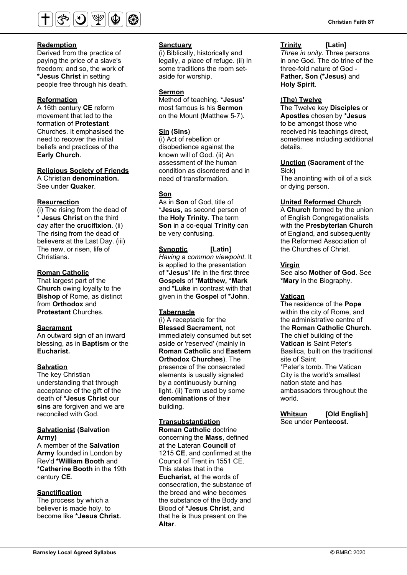

Derived from the practice of paying the price of a slave's freedom; and so, the work of **\*Jesus Christ** in setting people free through his death.

#### **Reformation**

A 16th century **CE** reform movement that led to the formation of **Protestant** Churches. It emphasised the need to recover the initial beliefs and practices of the **Early Church**.

**Religious Society of Friends**

A Christian **denomination.**  See under **Quaker**.

#### **Resurrection**

(i) The rising from the dead of **\* Jesus Christ** on the third day after the **crucifixion**. (ii) The rising from the dead of believers at the Last Day. (iii) The new, or risen, life of Christians.

#### **Roman Catholic**

That largest part of the **Church** owing loyalty to the **Bishop** of Rome, as distinct from **Orthodox** and **Protestant** Churches.

#### **Sacrament**

An outward sign of an inward blessing, as in **Baptism** or the **Eucharist.**

#### **Salvation**

The key Christian understanding that through acceptance of the gift of the death of **\*Jesus Christ** our **sins** are forgiven and we are reconciled with God.

#### **Salvationist (Salvation Army)**

A member of the **Salvation Army** founded in London by Rev'd **\*William Booth** and **\*Catherine Booth** in the 19th century **CE**.

#### **Sanctification**

The process by which a believer is made holy, to become like **\*Jesus Christ.**

#### **Sanctuary**

(i) Biblically, historically and legally, a place of refuge. (ii) In some traditions the room setaside for worship.

#### **Sermon**

Method of teaching. **\*Jesus'**  most famous is his **Sermon**  on the Mount (Matthew 5-7).

#### **Sin (Sins)**

(i) Act of rebellion or disobedience against the known will of God. (ii) An assessment of the human condition as disordered and in need of transformation.

### **Son**

As in **Son** of God, title of **\*Jesus,** as second person of the **Holy Trinity**. The term **Son** in a co-equal **Trinity** can be very confusing.

**Synoptic [Latin]**  *Having* a *common viewpoint.* It is applied to the presentation of **\*Jesus'** life in the first three **Gospels** of **\*Matthew, \*Mark** and **\*Luke** in contrast with that given in the **Gospel** of **\*John**.

#### **Tabernacle**

(i) A receptacle for the **Blessed Sacrament**, not immediately consumed but set aside or 'reserved' (mainly in **Roman Catholic** and **Eastern Orthodox Churches**). The presence of the consecrated elements is usually signaled by a continuously burning light. (ii) Term used by some **denominations** of their building.

### **Transubstantiation**

**Roman Catholic** doctrine concerning the **Mass**, defined at the Lateran **Council** of 1215 **CE**, and confirmed at the Council of Trent in 1551 CE. This states that in the **Eucharist,** at the words of consecration, the substance of the bread and wine becomes the substance of the Body and Blood of **\*Jesus Christ**, and that he is thus present on the **Altar**.

#### **Trinity [Latin]**

*Three in unity.* Three persons in one God. The do trine of the three-fold nature of God - **Father, Son (\*Jesus)** and **Holy Spirit**.

#### **(The) Twelve**

The Twelve key **Disciples** or **Apostles** chosen by **\*Jesus** to be amongst those who received his teachings direct, sometimes including additional details.

#### **Unction (Sacrament** of the Sick**)**

The anointing with oil of a sick or dying person.

#### **United Reformed Church**

A **Church** formed by the union of English Congregationalists with the **Presbyterian Church** of England, and subsequently the Reformed Association of the Churches of Christ.

#### **Virgin**

See also **Mother of God**. See **\*Mary** in the Biography.

#### **Vatican**

The residence of the **Pope** within the city of Rome, and the administrative centre of the **Roman Catholic Church**. The chief building of the **Vatican** is Saint Peter's Basilica, built on the traditional site of Saint \*Peter's tomb. The Vatican City is the world's smallest nation state and has ambassadors throughout the world.

**Whitsun [Old English]**  See under **Pentecost.**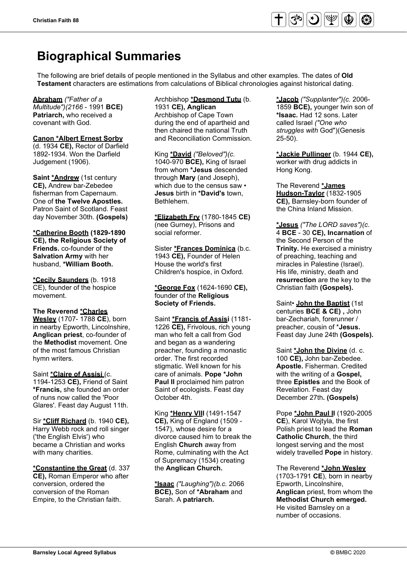

# **Biographical Summaries**

The following are brief details of people mentioned in the Syllabus and other examples. The dates of **Old Testament** characters are estimations from calculations of Biblical chronologies against historical dating.

**Abraham** *("Father of a Multitude")(2166* - 1991 **BCE) Patriarch,** who received a covenant with God.

#### **Canon \*Albert Ernest Sorby**

(d. 1934 **CE),** Rector of Darfield 1892-1934. Won the Darfield Judgement (1906).

**Saint \*Andrew** (1st century **CE),** Andrew bar-Zebedee fisherman from Capernaum. One of **the Twelve Apostles.**  Patron Saint of Scotland. Feast day November 30th. **(Gospels)**

**\*Catherine Booth (1829-1890 CE), the Religious Society of Friends.** co-founder of the **Salvation Army** with her husband, **\*William Booth.**

**\*Cecily Saunders** (b. 1918 CE), founder of the hospice movement.

#### **The Reverend \*Charles**

**Wesley** (1707- 1788 **CE**), born in nearby Epworth, Lincolnshire, **Anglican priest**, co-founder of the **Methodist** movement. One of the most famous Christian hymn writers.

Saint **\*Claire of Assisi** (c. 1194-1253 **CE),** Friend of Saint **\*Francis,** she founded an order of nuns now called the 'Poor Glares'. Feast day August 11th.

Sir **\*Cliff Richard** (b. 1940 **CE),**  Harry Webb rock and roll singer ('the English Elvis') who became a Christian and works with many charities.

**\*Constantine the Great** (d. 337 **CE),** Roman Emperor who after conversion, ordered the conversion of the Roman Empire, to the Christian faith.

#### Archbishop **\*Desmond Tutu** (b. 1931 **CE), Anglican**  Archbishop of Cape Town during the end of apartheid and then chaired the national Truth and Reconciliation Commission.

King **\*David** *("Beloved")(c.*  1040-970 **BCE),** King of Israel from whom **\*Jesus** descended through **Mary** (and Joseph), which due to the census saw • **Jesus** birth in **\*David's** town, Bethlehem.

**\*Elizabeth Fry** (1780-1845 **CE)**  (nee Gurney), Prisons and social reformer.

Sister **\*Frances Dominica** (b.c. 1943 **CE),** Founder of Helen House the world's first Children's hospice, in Oxford.

#### **\*George Fox** (1624-1690 **CE),**  founder of the **Religious Society of Friends.**

Saint **\*Francis of Assisi** (1181- 1226 **CE),** Frivolous, rich young man who felt a call from God and began as a wandering preacher, founding a monastic order. The first recorded stigmatic. Well known for his care of animals. **Pope \*John Paul II** proclaimed him patron Saint of ecologists. Feast day October 4th.

King **\*Henry VIII** (1491-1547 **CE),** King of England (1509 - 1547), whose desire for a divorce caused him to break the English **Church** away from Rome, culminating with the Act of Supremacy (1534) creating the **Anglican Church.**

**\*Isaac** *("Laughing")(b.c.* 2066 **BCE),** Son of **\*Abraham** and Sarah. A **patriarch.**

**\*Jacob** *("Supplanter")(c.* 2006- 1859 **BCE),** younger twin son of **\*Isaac.** Had 12 sons. Later called Israel *("One who struggles with* God")(Genesis 25-50).

**\*Jackie Pullinger** (b. 1944 **CE),**  worker with drug addicts in Hong Kong.

The Reverend **\*James Hudson-Taylor** (1832-1905 **CE),** Barnsley-born founder of the China Inland Mission.

**\*Jesus** *("The LORD saves")(c.*  4 **BCE** - 30 **CE), Incarnation** of the Second Person of the **Trinity.** He exercised a ministry of preaching, teaching and miracles in Palestine (Israel). His life, ministry, death and **resurrection** are the key to the Christian faith **(Gospels).**

Saint• **John the Baptist** (1st centuries **BCE & CE) ,** John bar-Zechariah, forerunner / preacher, cousin of \***Jesus.**  Feast day June 24th **(Gospels).**

Saint **\*John the Divine** (d. c. 100 **CE),** John bar-Zebedee. **Apostle.** Fisherman. Credited with the writing of a **Gospel,** three **Epistles** and the Book of Revelation. Feast day December 27th**. (Gospels)**

Pope **\*John Paul II** (1920-2005 **CE**), Karol Wojtyla, the first Polish priest to lead the **Roman Catholic Church**, the third longest serving and the most widely travelled **Pope** in history.

The Reverend **\*John Wesley** (1703-1791 **CE**), born in nearby Epworth, Lincolnshire, **Anglican** priest, from whom the **Methodist Church emerged.**  He visited Barnsley on a number of occasions.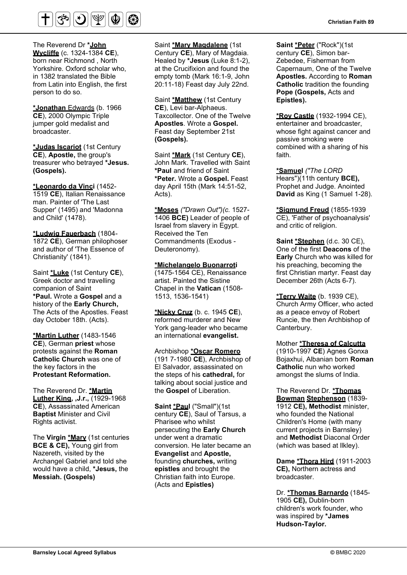

The Reverend Dr **\*John Wycliffe** (c. 1324-1384 **CE**), born near Richmond , North Yorkshire. Oxford scholar who, in 1382 translated the Bible from Latin into English, the first person to do so.

**\*Jonathan** Edwards (b. 1966 **CE**), 2000 Olympic Triple jumper gold medalist and broadcaster.

**\*Judas Iscariot** (1st Century **CE**), **Apostle,** the group's treasurer who betrayed **\*Jesus. (Gospels).**

**\*Leonardo da Vinci** (1452- 1519 **CE**), Italian Renaissance man. Painter of 'The Last Supper' (1495) and 'Madonna and Child' (1478).

**\*Ludwig Fauerbach** (1804- 1872 **CE**), German philophoser and author of 'The Essence of Christianity' (1841).

Saint **\*Luke** (1st Century **CE**), Greek doctor and travelling companion of Saint **\*Paul.** Wrote a **Gospel** and a history of the **Early Church,**  The Acts of the Apostles. Feast day October 18th. (Acts).

**\*Martin Luther** (1483-1546 **CE**), German **priest** whose protests against the **Roman Catholic Church** was one of the key factors in the **Protestant Reformation.**

The Reverend Dr. **\*Martin Luther King, ,J.r.,** (1929-1968 **CE**), Assassinated American **Baptist** Minister and Civil Rights activist.

The **Virgin \*Mary** (1st centuries **BCE & CE),** Young girl from Nazereth, visited by the Archangel Gabriel and told she would have a child, **\*Jesus,** the **Messiah. (Gospels)**

Saint **\*Mary Magdalene** (1st Century **CE**), Mary of Magdaia. Healed by **\*Jesus** (Luke 8:1-2), at the Crucifixion and found the empty tomb (Mark 16:1-9, John 20:11-18) Feast day July 22nd.

Saint **\*Matthew** (1st Century **CE**), Levi bar-Alphaeus. Taxcollector. One of the Twelve **Apostles**. Wrote a **Gospel.** Feast day September 21st **(Gospels).**

Saint **\*Mark** (1st Century **CE**), John Mark. Travelled with Saint **\*Paul** and friend of Saint **\*Peter.** Wrote a **Gospel.** Feast day April 15th (Mark 14:51-52, Acts).

**\*Moses** *("Drawn Out")(c.* 1527- 1406 **BCE)** Leader of people of Israel from slavery in Egypt. Received the Ten Commandments (Exodus - Deuteronomy).

**\*Michelangelo Buonarroti**  (1475-1564 CE), Renaissance artist. Painted the Sistine Chapel in the **Vatican** (1508- 1513, 1536-1541)

**\*Nicky Cruz** (b. c. 1945 **CE**), reformed murderer and New York gang-leader who became an international **evangelist.**

Archbishop **\*Oscar Romero** (191 7-1980 **CE**), Archbishop of El Salvador, assassinated on the steps of his **cathedral,** for talking about social justice and the **Gospel** of Liberation.

**Saint \*Paul** ("Small")(1st century **CE**), Saul of Tarsus, a Pharisee who whilst persecuting the **Early Church**  under went a dramatic conversion. He later became an **Evangelist** and **Apostle,**  founding **churches,** writing **epistles** and brought the Christian faith into Europe. (Acts and **Epistles)**

**Saint \*Peter** ("Rock")(1st century **CE**), Simon bar-Zebedee, Fisherman from Capernaum, One of the Twelve **Apostles.** According to **Roman Catholic** tradition the founding **Pope (Gospels,** Acts and **Epistles).**

**\*Roy Castle** (1932-1994 CE), entertainer and broadcaster, whose fight against cancer and passive smoking were combined with a sharing of his faith.

**\*Samuel** *("The LORD*  Hears")(11th century **BCE),**  Prophet and Judge. Anointed **David** as King (1 Samuel 1-28).

**\*Sigmund Freud** (1855-1939 CE), 'Father of psychoanalysis' and critic of religion.

**Saint \*Stephen** (d.c. 30 CE), One of the first **Deacons** of the **Early** Church who was killed for his preaching, becoming the first Christian martyr. Feast day December 26th (Acts 6-7).

**\*Terry Waite** (b. 1939 CE), Church Army Officer, who acted as *a* peace envoy of Robert Runcie, the then Archbishop of Canterbury.

Mother **\*Theresa of Calcutta** (1910-1997 **CE**) Agnes Gonxa Bojaxhui, Albanian born **Roman Catholic** nun who worked amongst the slums of India.

The Reverend Dr. **\*Thomas Bowman Stephenson** (1839- 1912 **CE), Methodist** minister, who founded the National Children's Home (with many current projects in Barnsley) and **Methodist** Diaconal Order (which was based at llkley).

**Dame \*Thora Hird** (1911-2003 **CE),** Northern actress and broadcaster.

Dr. **\*Thomas Barnardo** (1845- 1905 **CE),** Dublin-born children's work founder, who was inspired by **\*James Hudson-Taylor.**